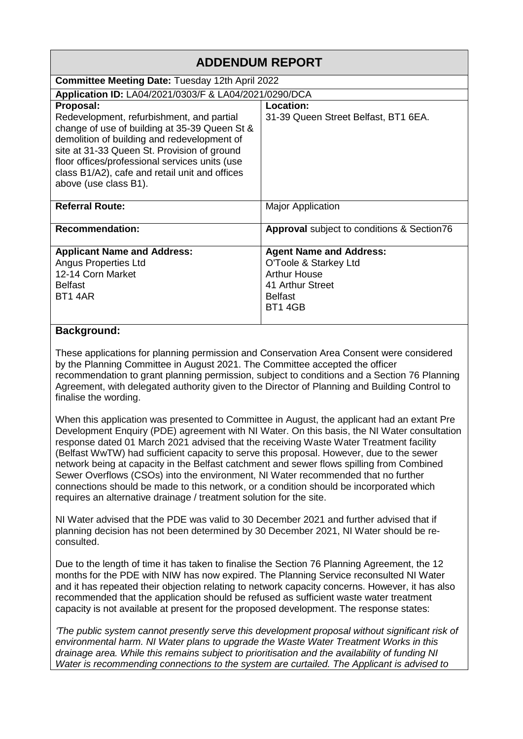| <b>ADDENDUM REPORT</b>                                                                        |                                            |
|-----------------------------------------------------------------------------------------------|--------------------------------------------|
| <b>Committee Meeting Date: Tuesday 12th April 2022</b>                                        |                                            |
| Application ID: LA04/2021/0303/F & LA04/2021/0290/DCA                                         |                                            |
| Proposal:                                                                                     | Location:                                  |
| Redevelopment, refurbishment, and partial                                                     | 31-39 Queen Street Belfast, BT1 6EA.       |
| change of use of building at 35-39 Queen St &                                                 |                                            |
| demolition of building and redevelopment of                                                   |                                            |
| site at 31-33 Queen St. Provision of ground<br>floor offices/professional services units (use |                                            |
| class B1/A2), cafe and retail unit and offices                                                |                                            |
| above (use class B1).                                                                         |                                            |
|                                                                                               |                                            |
| <b>Referral Route:</b>                                                                        | <b>Major Application</b>                   |
| <b>Recommendation:</b>                                                                        | Approval subject to conditions & Section76 |
|                                                                                               |                                            |
| <b>Applicant Name and Address:</b>                                                            | <b>Agent Name and Address:</b>             |
| <b>Angus Properties Ltd</b>                                                                   | O'Toole & Starkey Ltd                      |
| 12-14 Corn Market                                                                             | <b>Arthur House</b>                        |
| <b>Belfast</b>                                                                                | 41 Arthur Street                           |
| <b>BT1 4AR</b>                                                                                | <b>Belfast</b>                             |
|                                                                                               | BT1 4GB                                    |
| <b>B</b> I                                                                                    |                                            |

## **Background:**

These applications for planning permission and Conservation Area Consent were considered by the Planning Committee in August 2021. The Committee accepted the officer recommendation to grant planning permission, subject to conditions and a Section 76 Planning Agreement, with delegated authority given to the Director of Planning and Building Control to finalise the wording.

When this application was presented to Committee in August, the applicant had an extant Pre Development Enquiry (PDE) agreement with NI Water. On this basis, the NI Water consultation response dated 01 March 2021 advised that the receiving Waste Water Treatment facility (Belfast WwTW) had sufficient capacity to serve this proposal. However, due to the sewer network being at capacity in the Belfast catchment and sewer flows spilling from Combined Sewer Overflows (CSOs) into the environment, NI Water recommended that no further connections should be made to this network, or a condition should be incorporated which requires an alternative drainage / treatment solution for the site.

NI Water advised that the PDE was valid to 30 December 2021 and further advised that if planning decision has not been determined by 30 December 2021, NI Water should be reconsulted.

Due to the length of time it has taken to finalise the Section 76 Planning Agreement, the 12 months for the PDE with NIW has now expired. The Planning Service reconsulted NI Water and it has repeated their objection relating to network capacity concerns. However, it has also recommended that the application should be refused as sufficient waste water treatment capacity is not available at present for the proposed development. The response states:

*'The public system cannot presently serve this development proposal without significant risk of environmental harm. NI Water plans to upgrade the Waste Water Treatment Works in this drainage area. While this remains subject to prioritisation and the availability of funding NI Water is recommending connections to the system are curtailed. The Applicant is advised to*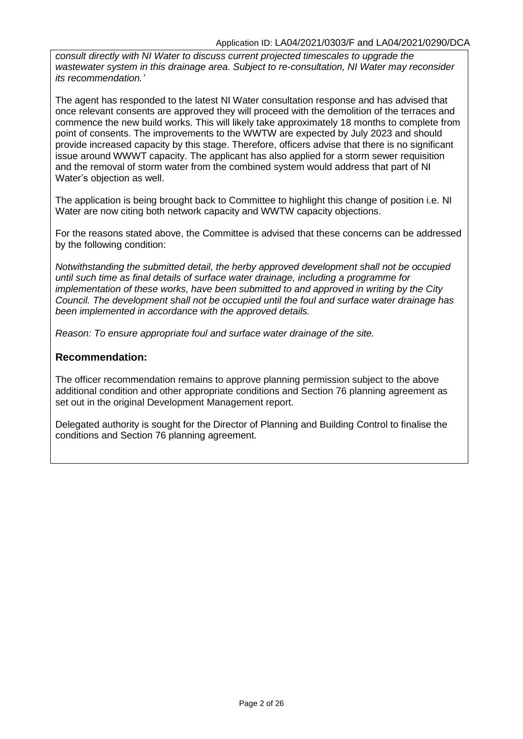*consult directly with NI Water to discuss current projected timescales to upgrade the wastewater system in this drainage area. Subject to re-consultation, NI Water may reconsider its recommendation.'*

The agent has responded to the latest NI Water consultation response and has advised that once relevant consents are approved they will proceed with the demolition of the terraces and commence the new build works. This will likely take approximately 18 months to complete from point of consents. The improvements to the WWTW are expected by July 2023 and should provide increased capacity by this stage. Therefore, officers advise that there is no significant issue around WWWT capacity. The applicant has also applied for a storm sewer requisition and the removal of storm water from the combined system would address that part of NI Water's objection as well.

The application is being brought back to Committee to highlight this change of position i.e. NI Water are now citing both network capacity and WWTW capacity objections.

For the reasons stated above, the Committee is advised that these concerns can be addressed by the following condition:

*Notwithstanding the submitted detail, the herby approved development shall not be occupied until such time as final details of surface water drainage, including a programme for implementation of these works, have been submitted to and approved in writing by the City Council. The development shall not be occupied until the foul and surface water drainage has been implemented in accordance with the approved details.* 

*Reason: To ensure appropriate foul and surface water drainage of the site.*

## **Recommendation:**

The officer recommendation remains to approve planning permission subject to the above additional condition and other appropriate conditions and Section 76 planning agreement as set out in the original Development Management report.

Delegated authority is sought for the Director of Planning and Building Control to finalise the conditions and Section 76 planning agreement.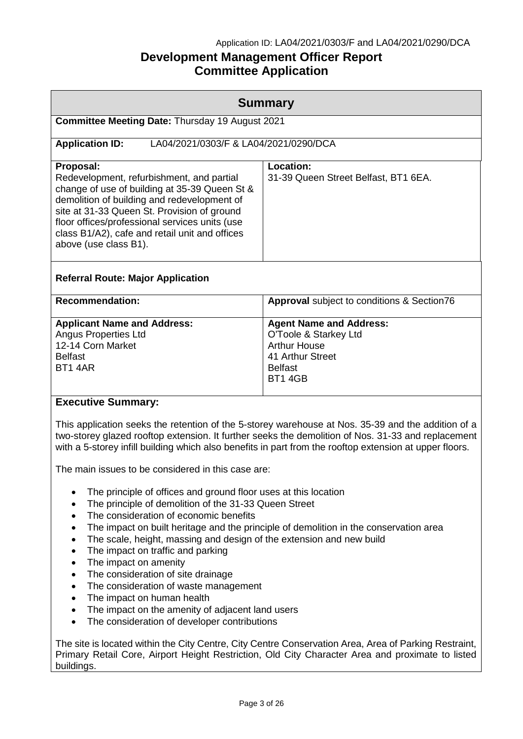## Application ID: LA04/2021/0303/F and LA04/2021/0290/DCA

# **Development Management Officer Report Committee Application**

|                                                                                                                                                                                                                                                                                                                                    | <b>Summary</b>                                                                                                                                                                                                                                                                                                      |  |
|------------------------------------------------------------------------------------------------------------------------------------------------------------------------------------------------------------------------------------------------------------------------------------------------------------------------------------|---------------------------------------------------------------------------------------------------------------------------------------------------------------------------------------------------------------------------------------------------------------------------------------------------------------------|--|
| Committee Meeting Date: Thursday 19 August 2021                                                                                                                                                                                                                                                                                    |                                                                                                                                                                                                                                                                                                                     |  |
| LA04/2021/0303/F & LA04/2021/0290/DCA<br><b>Application ID:</b>                                                                                                                                                                                                                                                                    |                                                                                                                                                                                                                                                                                                                     |  |
| Proposal:<br>Redevelopment, refurbishment, and partial<br>change of use of building at 35-39 Queen St &<br>demolition of building and redevelopment of<br>site at 31-33 Queen St. Provision of ground<br>floor offices/professional services units (use<br>class B1/A2), cafe and retail unit and offices<br>above (use class B1). | <b>Location:</b><br>31-39 Queen Street Belfast, BT1 6EA.                                                                                                                                                                                                                                                            |  |
| <b>Referral Route: Major Application</b>                                                                                                                                                                                                                                                                                           |                                                                                                                                                                                                                                                                                                                     |  |
| <b>Recommendation:</b>                                                                                                                                                                                                                                                                                                             | Approval subject to conditions & Section76                                                                                                                                                                                                                                                                          |  |
| <b>Applicant Name and Address:</b><br><b>Angus Properties Ltd</b><br>12-14 Corn Market<br><b>Belfast</b><br><b>BT1 4AR</b>                                                                                                                                                                                                         | <b>Agent Name and Address:</b><br>O'Toole & Starkey Ltd<br><b>Arthur House</b><br>41 Arthur Street<br><b>Belfast</b><br><b>BT1 4GB</b>                                                                                                                                                                              |  |
| <b>Executive Summary:</b>                                                                                                                                                                                                                                                                                                          |                                                                                                                                                                                                                                                                                                                     |  |
|                                                                                                                                                                                                                                                                                                                                    | This application seeks the retention of the 5-storey warehouse at Nos. 35-39 and the addition of a<br>two-storey glazed rooftop extension. It further seeks the demolition of Nos. 31-33 and replacement<br>with a 5-storey infill building which also benefits in part from the rooftop extension at upper floors. |  |

The main issues to be considered in this case are:

- The principle of offices and ground floor uses at this location
- The principle of demolition of the 31-33 Queen Street
- The consideration of economic benefits
- The impact on built heritage and the principle of demolition in the conservation area
- The scale, height, massing and design of the extension and new build
- The impact on traffic and parking
- The impact on amenity
- The consideration of site drainage
- The consideration of waste management
- The impact on human health
- The impact on the amenity of adjacent land users
- The consideration of developer contributions

The site is located within the City Centre, City Centre Conservation Area, Area of Parking Restraint, Primary Retail Core, Airport Height Restriction, Old City Character Area and proximate to listed buildings.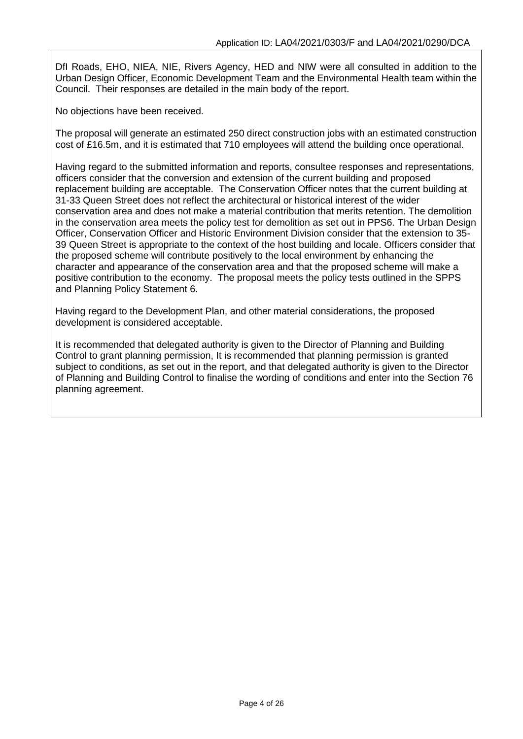DfI Roads, EHO, NIEA, NIE, Rivers Agency, HED and NIW were all consulted in addition to the Urban Design Officer, Economic Development Team and the Environmental Health team within the Council. Their responses are detailed in the main body of the report.

No objections have been received.

The proposal will generate an estimated 250 direct construction jobs with an estimated construction cost of £16.5m, and it is estimated that 710 employees will attend the building once operational.

Having regard to the submitted information and reports, consultee responses and representations, officers consider that the conversion and extension of the current building and proposed replacement building are acceptable. The Conservation Officer notes that the current building at 31-33 Queen Street does not reflect the architectural or historical interest of the wider conservation area and does not make a material contribution that merits retention. The demolition in the conservation area meets the policy test for demolition as set out in PPS6. The Urban Design Officer, Conservation Officer and Historic Environment Division consider that the extension to 35- 39 Queen Street is appropriate to the context of the host building and locale. Officers consider that the proposed scheme will contribute positively to the local environment by enhancing the character and appearance of the conservation area and that the proposed scheme will make a positive contribution to the economy. The proposal meets the policy tests outlined in the SPPS and Planning Policy Statement 6.

Having regard to the Development Plan, and other material considerations, the proposed development is considered acceptable.

It is recommended that delegated authority is given to the Director of Planning and Building Control to grant planning permission, It is recommended that planning permission is granted subject to conditions, as set out in the report, and that delegated authority is given to the Director of Planning and Building Control to finalise the wording of conditions and enter into the Section 76 planning agreement.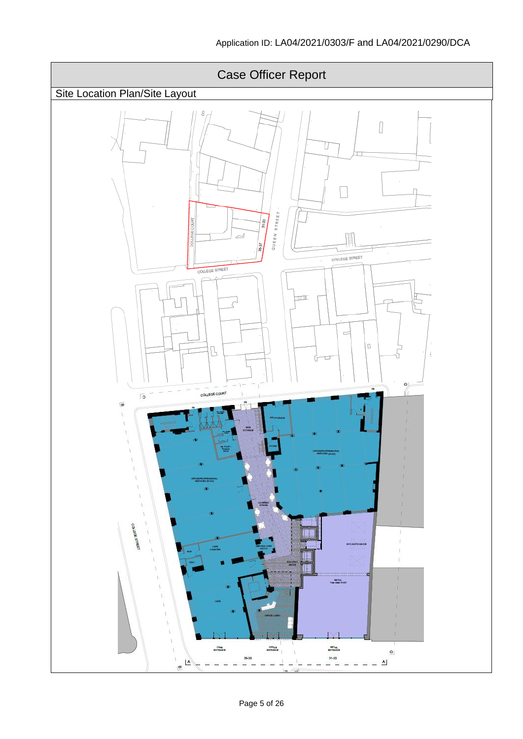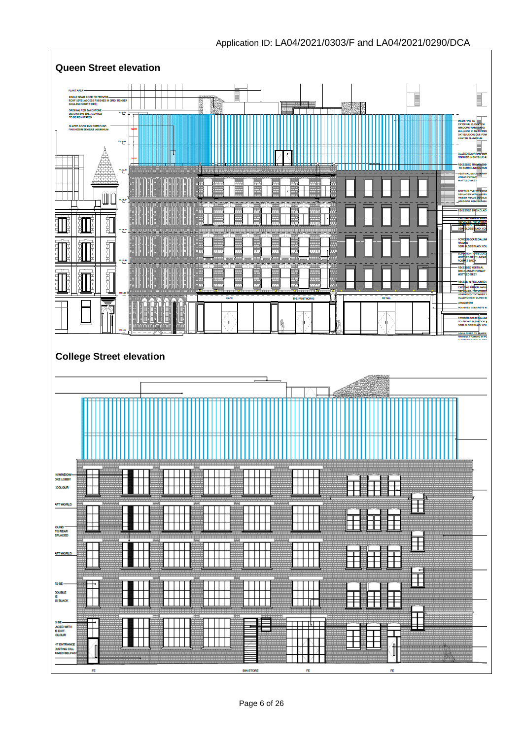

# Application ID: LA04/2021/0303/F and LA04/2021/0290/DCA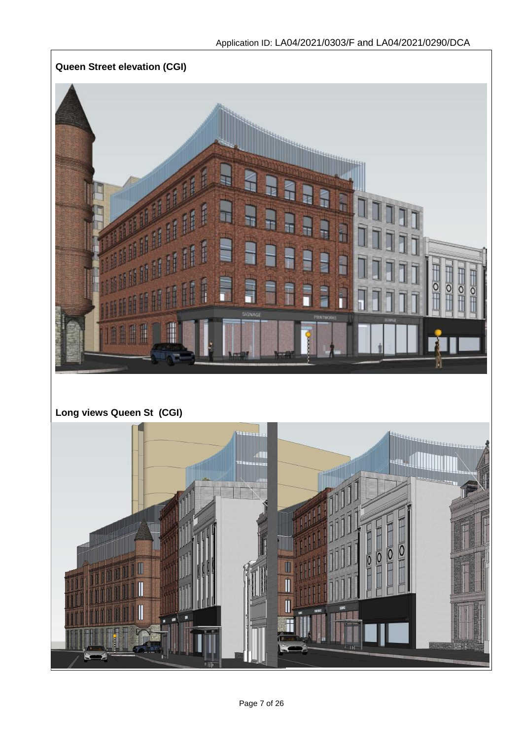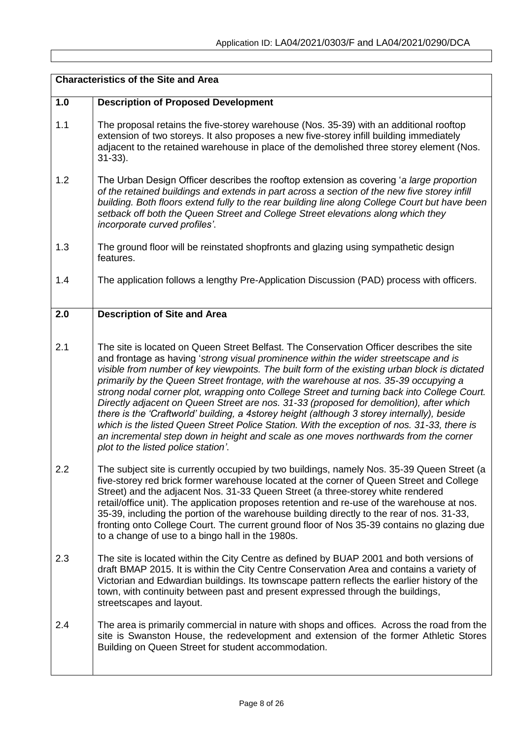|     | <b>Characteristics of the Site and Area</b>                                                                                                                                                                                                                                                                                                                                                                                                                                                                                                                                                                                                                                                                                                                                                                                                                                                      |  |
|-----|--------------------------------------------------------------------------------------------------------------------------------------------------------------------------------------------------------------------------------------------------------------------------------------------------------------------------------------------------------------------------------------------------------------------------------------------------------------------------------------------------------------------------------------------------------------------------------------------------------------------------------------------------------------------------------------------------------------------------------------------------------------------------------------------------------------------------------------------------------------------------------------------------|--|
| 1.0 | <b>Description of Proposed Development</b>                                                                                                                                                                                                                                                                                                                                                                                                                                                                                                                                                                                                                                                                                                                                                                                                                                                       |  |
| 1.1 | The proposal retains the five-storey warehouse (Nos. 35-39) with an additional rooftop<br>extension of two storeys. It also proposes a new five-storey infill building immediately<br>adjacent to the retained warehouse in place of the demolished three storey element (Nos.<br>$31-33$ ).                                                                                                                                                                                                                                                                                                                                                                                                                                                                                                                                                                                                     |  |
| 1.2 | The Urban Design Officer describes the rooftop extension as covering 'a large proportion<br>of the retained buildings and extends in part across a section of the new five storey infill<br>building. Both floors extend fully to the rear building line along College Court but have been<br>setback off both the Queen Street and College Street elevations along which they<br>incorporate curved profiles'.                                                                                                                                                                                                                                                                                                                                                                                                                                                                                  |  |
| 1.3 | The ground floor will be reinstated shopfronts and glazing using sympathetic design<br>features.                                                                                                                                                                                                                                                                                                                                                                                                                                                                                                                                                                                                                                                                                                                                                                                                 |  |
| 1.4 | The application follows a lengthy Pre-Application Discussion (PAD) process with officers.                                                                                                                                                                                                                                                                                                                                                                                                                                                                                                                                                                                                                                                                                                                                                                                                        |  |
| 2.0 | <b>Description of Site and Area</b>                                                                                                                                                                                                                                                                                                                                                                                                                                                                                                                                                                                                                                                                                                                                                                                                                                                              |  |
| 2.1 | The site is located on Queen Street Belfast. The Conservation Officer describes the site<br>and frontage as having 'strong visual prominence within the wider streetscape and is<br>visible from number of key viewpoints. The built form of the existing urban block is dictated<br>primarily by the Queen Street frontage, with the warehouse at nos. 35-39 occupying a<br>strong nodal corner plot, wrapping onto College Street and turning back into College Court.<br>Directly adjacent on Queen Street are nos. 31-33 (proposed for demolition), after which<br>there is the 'Craftworld' building, a 4storey height (although 3 storey internally), beside<br>which is the listed Queen Street Police Station. With the exception of nos. 31-33, there is<br>an incremental step down in height and scale as one moves northwards from the corner<br>plot to the listed police station'. |  |
| 2.2 | The subject site is currently occupied by two buildings, namely Nos. 35-39 Queen Street (a<br>five-storey red brick former warehouse located at the corner of Queen Street and College<br>Street) and the adjacent Nos. 31-33 Queen Street (a three-storey white rendered<br>retail/office unit). The application proposes retention and re-use of the warehouse at nos.<br>35-39, including the portion of the warehouse building directly to the rear of nos. 31-33,<br>fronting onto College Court. The current ground floor of Nos 35-39 contains no glazing due<br>to a change of use to a bingo hall in the 1980s.                                                                                                                                                                                                                                                                         |  |
| 2.3 | The site is located within the City Centre as defined by BUAP 2001 and both versions of<br>draft BMAP 2015. It is within the City Centre Conservation Area and contains a variety of<br>Victorian and Edwardian buildings. Its townscape pattern reflects the earlier history of the<br>town, with continuity between past and present expressed through the buildings,<br>streetscapes and layout.                                                                                                                                                                                                                                                                                                                                                                                                                                                                                              |  |
| 2.4 | The area is primarily commercial in nature with shops and offices. Across the road from the<br>site is Swanston House, the redevelopment and extension of the former Athletic Stores<br>Building on Queen Street for student accommodation.                                                                                                                                                                                                                                                                                                                                                                                                                                                                                                                                                                                                                                                      |  |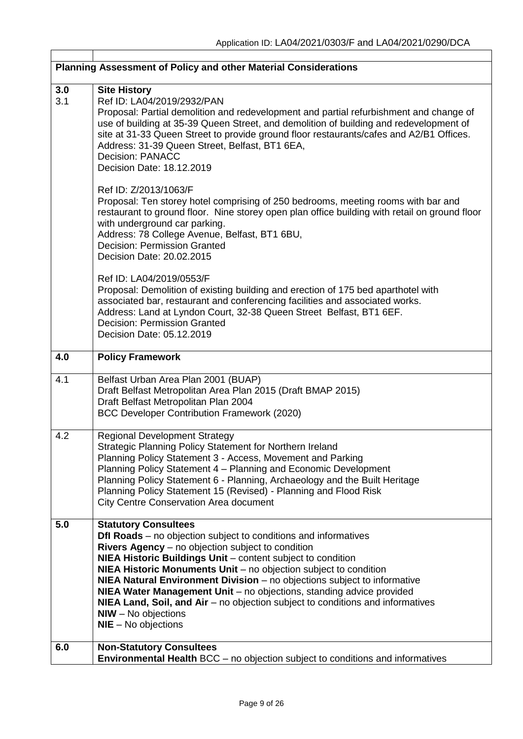|            | Planning Assessment of Policy and other Material Considerations                                                                                                                                                                                                                                                                                                                                                                                                                                                                                                                 |
|------------|---------------------------------------------------------------------------------------------------------------------------------------------------------------------------------------------------------------------------------------------------------------------------------------------------------------------------------------------------------------------------------------------------------------------------------------------------------------------------------------------------------------------------------------------------------------------------------|
| 3.0<br>3.1 | <b>Site History</b><br>Ref ID: LA04/2019/2932/PAN<br>Proposal: Partial demolition and redevelopment and partial refurbishment and change of<br>use of building at 35-39 Queen Street, and demolition of building and redevelopment of<br>site at 31-33 Queen Street to provide ground floor restaurants/cafes and A2/B1 Offices.<br>Address: 31-39 Queen Street, Belfast, BT1 6EA,<br><b>Decision: PANACC</b><br>Decision Date: 18.12.2019                                                                                                                                      |
|            | Ref ID: Z/2013/1063/F<br>Proposal: Ten storey hotel comprising of 250 bedrooms, meeting rooms with bar and<br>restaurant to ground floor. Nine storey open plan office building with retail on ground floor<br>with underground car parking.<br>Address: 78 College Avenue, Belfast, BT1 6BU,<br><b>Decision: Permission Granted</b><br>Decision Date: 20.02.2015                                                                                                                                                                                                               |
|            | Ref ID: LA04/2019/0553/F<br>Proposal: Demolition of existing building and erection of 175 bed aparthotel with<br>associated bar, restaurant and conferencing facilities and associated works.<br>Address: Land at Lyndon Court, 32-38 Queen Street Belfast, BT1 6EF.<br><b>Decision: Permission Granted</b><br>Decision Date: 05.12.2019                                                                                                                                                                                                                                        |
| 4.0        | <b>Policy Framework</b>                                                                                                                                                                                                                                                                                                                                                                                                                                                                                                                                                         |
| 4.1        | Belfast Urban Area Plan 2001 (BUAP)<br>Draft Belfast Metropolitan Area Plan 2015 (Draft BMAP 2015)<br>Draft Belfast Metropolitan Plan 2004<br><b>BCC Developer Contribution Framework (2020)</b>                                                                                                                                                                                                                                                                                                                                                                                |
| 4.2        | <b>Regional Development Strategy</b><br>Strategic Planning Policy Statement for Northern Ireland<br>Planning Policy Statement 3 - Access, Movement and Parking<br>Planning Policy Statement 4 - Planning and Economic Development<br>Planning Policy Statement 6 - Planning, Archaeology and the Built Heritage<br>Planning Policy Statement 15 (Revised) - Planning and Flood Risk<br><b>City Centre Conservation Area document</b>                                                                                                                                            |
| 5.0        | <b>Statutory Consultees</b><br>Dfl Roads - no objection subject to conditions and informatives<br>Rivers Agency - no objection subject to condition<br>NIEA Historic Buildings Unit - content subject to condition<br>NIEA Historic Monuments Unit - no objection subject to condition<br>NIEA Natural Environment Division - no objections subject to informative<br>NIEA Water Management Unit - no objections, standing advice provided<br>NIEA Land, Soil, and Air - no objection subject to conditions and informatives<br>$N$ IW - No objections<br>$NIE - No$ objections |
| 6.0        | <b>Non-Statutory Consultees</b><br><b>Environmental Health BCC</b> – no objection subject to conditions and informatives                                                                                                                                                                                                                                                                                                                                                                                                                                                        |

 $\lceil$ 

 $\overline{\phantom{a}}$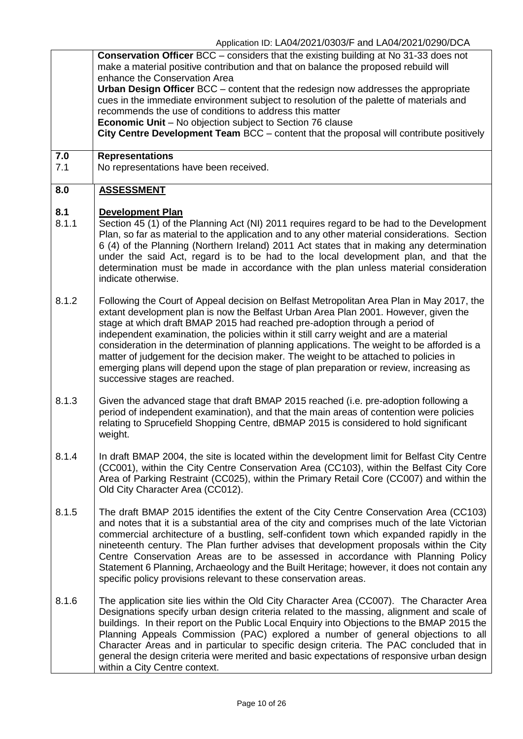|                  | Application TD. EAU+/2021/0000/1 and EAU+/2021/0200/DUA<br>Conservation Officer BCC - considers that the existing building at No 31-33 does not<br>make a material positive contribution and that on balance the proposed rebuild will<br>enhance the Conservation Area<br>Urban Design Officer BCC - content that the redesign now addresses the appropriate<br>cues in the immediate environment subject to resolution of the palette of materials and<br>recommends the use of conditions to address this matter                                                                                                                                                         |
|------------------|-----------------------------------------------------------------------------------------------------------------------------------------------------------------------------------------------------------------------------------------------------------------------------------------------------------------------------------------------------------------------------------------------------------------------------------------------------------------------------------------------------------------------------------------------------------------------------------------------------------------------------------------------------------------------------|
|                  | <b>Economic Unit</b> – No objection subject to Section 76 clause<br>City Centre Development Team BCC – content that the proposal will contribute positively                                                                                                                                                                                                                                                                                                                                                                                                                                                                                                                 |
| 7.0<br>7.1       | <b>Representations</b><br>No representations have been received.                                                                                                                                                                                                                                                                                                                                                                                                                                                                                                                                                                                                            |
| $\overline{8.0}$ | <b>ASSESSMENT</b>                                                                                                                                                                                                                                                                                                                                                                                                                                                                                                                                                                                                                                                           |
| 8.1<br>8.1.1     | <b>Development Plan</b><br>Section 45 (1) of the Planning Act (NI) 2011 requires regard to be had to the Development<br>Plan, so far as material to the application and to any other material considerations. Section<br>6 (4) of the Planning (Northern Ireland) 2011 Act states that in making any determination<br>under the said Act, regard is to be had to the local development plan, and that the<br>determination must be made in accordance with the plan unless material consideration<br>indicate otherwise.                                                                                                                                                    |
| 8.1.2            | Following the Court of Appeal decision on Belfast Metropolitan Area Plan in May 2017, the<br>extant development plan is now the Belfast Urban Area Plan 2001. However, given the<br>stage at which draft BMAP 2015 had reached pre-adoption through a period of<br>independent examination, the policies within it still carry weight and are a material<br>consideration in the determination of planning applications. The weight to be afforded is a<br>matter of judgement for the decision maker. The weight to be attached to policies in<br>emerging plans will depend upon the stage of plan preparation or review, increasing as<br>successive stages are reached. |
| 8.1.3            | Given the advanced stage that draft BMAP 2015 reached (i.e. pre-adoption following a<br>period of independent examination), and that the main areas of contention were policies<br>relating to Sprucefield Shopping Centre, dBMAP 2015 is considered to hold significant<br>weight.                                                                                                                                                                                                                                                                                                                                                                                         |
| 8.1.4            | In draft BMAP 2004, the site is located within the development limit for Belfast City Centre<br>(CC001), within the City Centre Conservation Area (CC103), within the Belfast City Core<br>Area of Parking Restraint (CC025), within the Primary Retail Core (CC007) and within the<br>Old City Character Area (CC012).                                                                                                                                                                                                                                                                                                                                                     |
| 8.1.5            | The draft BMAP 2015 identifies the extent of the City Centre Conservation Area (CC103)<br>and notes that it is a substantial area of the city and comprises much of the late Victorian<br>commercial architecture of a bustling, self-confident town which expanded rapidly in the<br>nineteenth century. The Plan further advises that development proposals within the City<br>Centre Conservation Areas are to be assessed in accordance with Planning Policy<br>Statement 6 Planning, Archaeology and the Built Heritage; however, it does not contain any<br>specific policy provisions relevant to these conservation areas.                                          |
| 8.1.6            | The application site lies within the Old City Character Area (CC007). The Character Area<br>Designations specify urban design criteria related to the massing, alignment and scale of<br>buildings. In their report on the Public Local Enquiry into Objections to the BMAP 2015 the<br>Planning Appeals Commission (PAC) explored a number of general objections to all<br>Character Areas and in particular to specific design criteria. The PAC concluded that in<br>general the design criteria were merited and basic expectations of responsive urban design<br>within a City Centre context.                                                                         |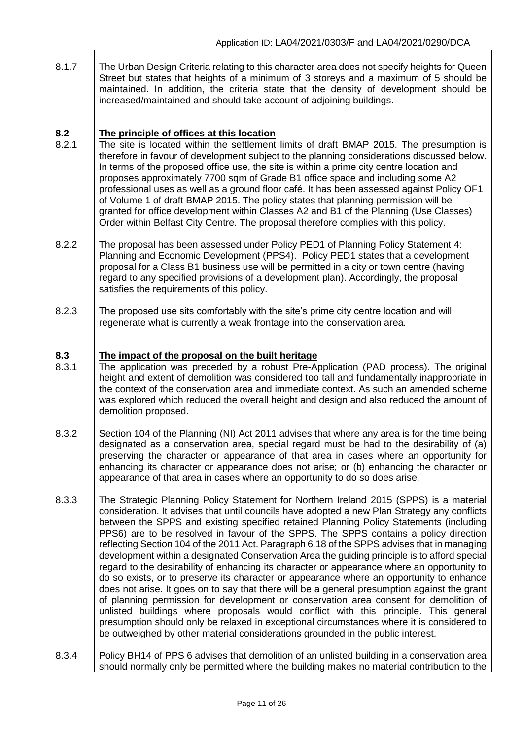- 8.1.7 **8.2** The Urban Design Criteria relating to this character area does not specify heights for Queen Street but states that heights of a minimum of 3 storeys and a maximum of 5 should be maintained. In addition, the criteria state that the density of development should be increased/maintained and should take account of adjoining buildings. **The principle of offices at this location**
- 8.2.1 The site is located within the settlement limits of draft BMAP 2015. The presumption is therefore in favour of development subject to the planning considerations discussed below. In terms of the proposed office use, the site is within a prime city centre location and proposes approximately 7700 sqm of Grade B1 office space and including some A2 professional uses as well as a ground floor café. It has been assessed against Policy OF1 of Volume 1 of draft BMAP 2015. The policy states that planning permission will be granted for office development within Classes A2 and B1 of the Planning (Use Classes) Order within Belfast City Centre. The proposal therefore complies with this policy.
- 8.2.2 The proposal has been assessed under Policy PED1 of Planning Policy Statement 4: Planning and Economic Development (PPS4). Policy PED1 states that a development proposal for a Class B1 business use will be permitted in a city or town centre (having regard to any specified provisions of a development plan). Accordingly, the proposal satisfies the requirements of this policy.
- 8.2.3 The proposed use sits comfortably with the site's prime city centre location and will regenerate what is currently a weak frontage into the conservation area.

### **8.3 The impact of the proposal on the built heritage**

- 8.3.1 The application was preceded by a robust Pre-Application (PAD process). The original height and extent of demolition was considered too tall and fundamentally inappropriate in the context of the conservation area and immediate context. As such an amended scheme was explored which reduced the overall height and design and also reduced the amount of demolition proposed.
- 8.3.2 Section 104 of the Planning (NI) Act 2011 advises that where any area is for the time being designated as a conservation area, special regard must be had to the desirability of (a) preserving the character or appearance of that area in cases where an opportunity for enhancing its character or appearance does not arise; or (b) enhancing the character or appearance of that area in cases where an opportunity to do so does arise.
- 8.3.3 The Strategic Planning Policy Statement for Northern Ireland 2015 (SPPS) is a material consideration. It advises that until councils have adopted a new Plan Strategy any conflicts between the SPPS and existing specified retained Planning Policy Statements (including PPS6) are to be resolved in favour of the SPPS. The SPPS contains a policy direction reflecting Section 104 of the 2011 Act. Paragraph 6.18 of the SPPS advises that in managing development within a designated Conservation Area the guiding principle is to afford special regard to the desirability of enhancing its character or appearance where an opportunity to do so exists, or to preserve its character or appearance where an opportunity to enhance does not arise. It goes on to say that there will be a general presumption against the grant of planning permission for development or conservation area consent for demolition of unlisted buildings where proposals would conflict with this principle. This general presumption should only be relaxed in exceptional circumstances where it is considered to be outweighed by other material considerations grounded in the public interest.
- 8.3.4 Policy BH14 of PPS 6 advises that demolition of an unlisted building in a conservation area should normally only be permitted where the building makes no material contribution to the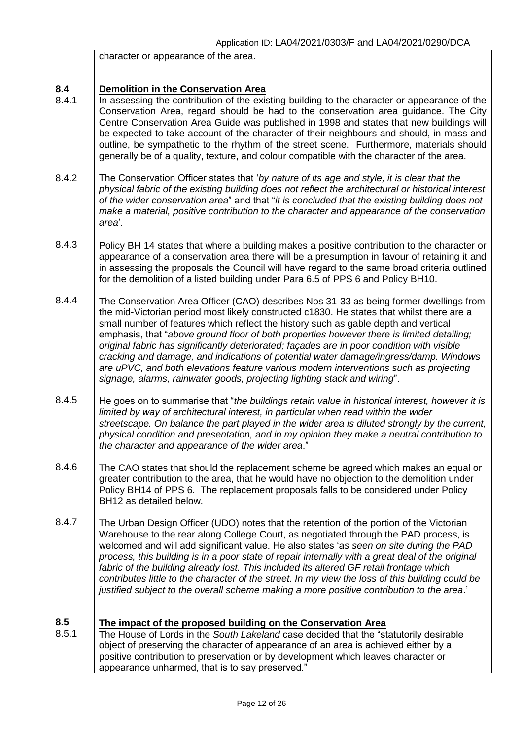|              | character or appearance of the area.                                                                                                                                                                                                                                                                                                                                                                                                                                                                                                                                                                                                                                                                                               |
|--------------|------------------------------------------------------------------------------------------------------------------------------------------------------------------------------------------------------------------------------------------------------------------------------------------------------------------------------------------------------------------------------------------------------------------------------------------------------------------------------------------------------------------------------------------------------------------------------------------------------------------------------------------------------------------------------------------------------------------------------------|
| 8.4<br>8.4.1 | <b>Demolition in the Conservation Area</b><br>In assessing the contribution of the existing building to the character or appearance of the<br>Conservation Area, regard should be had to the conservation area guidance. The City<br>Centre Conservation Area Guide was published in 1998 and states that new buildings will<br>be expected to take account of the character of their neighbours and should, in mass and<br>outline, be sympathetic to the rhythm of the street scene. Furthermore, materials should<br>generally be of a quality, texture, and colour compatible with the character of the area.                                                                                                                  |
| 8.4.2        | The Conservation Officer states that 'by nature of its age and style, it is clear that the<br>physical fabric of the existing building does not reflect the architectural or historical interest<br>of the wider conservation area" and that "it is concluded that the existing building does not<br>make a material, positive contribution to the character and appearance of the conservation<br>area'.                                                                                                                                                                                                                                                                                                                          |
| 8.4.3        | Policy BH 14 states that where a building makes a positive contribution to the character or<br>appearance of a conservation area there will be a presumption in favour of retaining it and<br>in assessing the proposals the Council will have regard to the same broad criteria outlined<br>for the demolition of a listed building under Para 6.5 of PPS 6 and Policy BH10.                                                                                                                                                                                                                                                                                                                                                      |
| 8.4.4        | The Conservation Area Officer (CAO) describes Nos 31-33 as being former dwellings from<br>the mid-Victorian period most likely constructed c1830. He states that whilst there are a<br>small number of features which reflect the history such as gable depth and vertical<br>emphasis, that "above ground floor of both properties however there is limited detailing;<br>original fabric has significantly deteriorated; façades are in poor condition with visible<br>cracking and damage, and indications of potential water damage/ingress/damp. Windows<br>are uPVC, and both elevations feature various modern interventions such as projecting<br>signage, alarms, rainwater goods, projecting lighting stack and wiring". |
| 8.4.5        | He goes on to summarise that "the buildings retain value in historical interest, however it is<br>limited by way of architectural interest, in particular when read within the wider<br>streetscape. On balance the part played in the wider area is diluted strongly by the current,<br>physical condition and presentation, and in my opinion they make a neutral contribution to<br>the character and appearance of the wider area.'                                                                                                                                                                                                                                                                                            |
| 8.4.6        | The CAO states that should the replacement scheme be agreed which makes an equal or<br>greater contribution to the area, that he would have no objection to the demolition under<br>Policy BH14 of PPS 6. The replacement proposals falls to be considered under Policy<br>BH12 as detailed below.                                                                                                                                                                                                                                                                                                                                                                                                                                 |
| 8.4.7        | The Urban Design Officer (UDO) notes that the retention of the portion of the Victorian<br>Warehouse to the rear along College Court, as negotiated through the PAD process, is<br>welcomed and will add significant value. He also states 'as seen on site during the PAD<br>process, this building is in a poor state of repair internally with a great deal of the original<br>fabric of the building already lost. This included its altered GF retail frontage which<br>contributes little to the character of the street. In my view the loss of this building could be<br>justified subject to the overall scheme making a more positive contribution to the area.'                                                         |
| 8.5<br>8.5.1 | The impact of the proposed building on the Conservation Area<br>The House of Lords in the South Lakeland case decided that the "statutorily desirable<br>object of preserving the character of appearance of an area is achieved either by a<br>positive contribution to preservation or by development which leaves character or<br>appearance unharmed, that is to say preserved."                                                                                                                                                                                                                                                                                                                                               |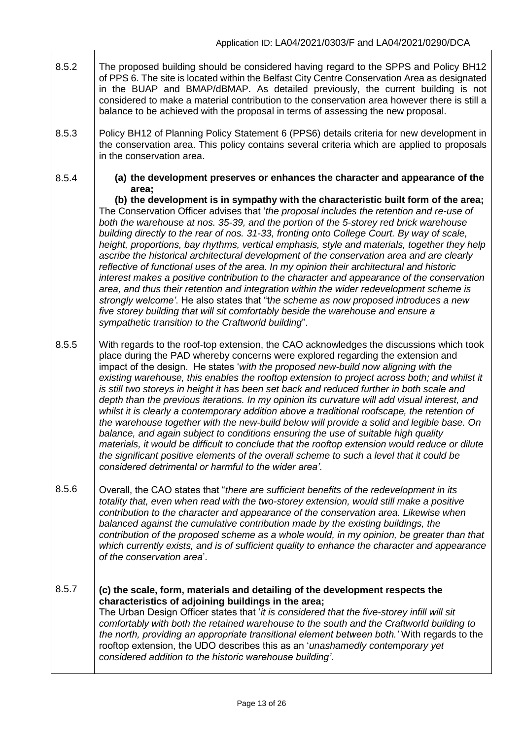- 8.5.2 The proposed building should be considered having regard to the SPPS and Policy BH12 of PPS 6. The site is located within the Belfast City Centre Conservation Area as designated in the BUAP and BMAP/dBMAP. As detailed previously, the current building is not considered to make a material contribution to the conservation area however there is still a balance to be achieved with the proposal in terms of assessing the new proposal.
- 8.5.3 Policy BH12 of Planning Policy Statement 6 (PPS6) details criteria for new development in the conservation area. This policy contains several criteria which are applied to proposals in the conservation area.
- 8.5.4 **(a) the development preserves or enhances the character and appearance of the area;**

**(b) the development is in sympathy with the characteristic built form of the area;**  The Conservation Officer advises that '*the proposal includes the retention and re-use of both the warehouse at nos. 35-39, and the portion of the 5-storey red brick warehouse building directly to the rear of nos. 31-33, fronting onto College Court. By way of scale, height, proportions, bay rhythms, vertical emphasis, style and materials, together they help ascribe the historical architectural development of the conservation area and are clearly reflective of functional uses of the area. In my opinion their architectural and historic interest makes a positive contribution to the character and appearance of the conservation area, and thus their retention and integration within the wider redevelopment scheme is strongly welcome'*. He also states that "t*he scheme as now proposed introduces a new five storey building that will sit comfortably beside the warehouse and ensure a sympathetic transition to the Craftworld building*".

- 8.5.5 With regards to the roof-top extension, the CAO acknowledges the discussions which took place during the PAD whereby concerns were explored regarding the extension and impact of the design. He states '*with the proposed new-build now aligning with the existing warehouse, this enables the rooftop extension to project across both; and whilst it is still two storeys in height it has been set back and reduced further in both scale and depth than the previous iterations. In my opinion its curvature will add visual interest, and whilst it is clearly a contemporary addition above a traditional roofscape, the retention of the warehouse together with the new-build below will provide a solid and legible base. On balance, and again subject to conditions ensuring the use of suitable high quality materials, it would be difficult to conclude that the rooftop extension would reduce or dilute the significant positive elements of the overall scheme to such a level that it could be considered detrimental or harmful to the wider area'*.
- 8.5.6 Overall, the CAO states that "*there are sufficient benefits of the redevelopment in its totality that, even when read with the two-storey extension, would still make a positive contribution to the character and appearance of the conservation area. Likewise when balanced against the cumulative contribution made by the existing buildings, the contribution of the proposed scheme as a whole would, in my opinion, be greater than that which currently exists, and is of sufficient quality to enhance the character and appearance of the conservation area*'.

### 8.5.7 **(c) the scale, form, materials and detailing of the development respects the characteristics of adjoining buildings in the area;**  The Urban Design Officer states that '*it is considered that the five-storey infill will sit comfortably with both the retained warehouse to the south and the Craftworld building to the north, providing an appropriate transitional element between both.'* With regards to the rooftop extension, the UDO describes this as an '*unashamedly contemporary yet considered addition to the historic warehouse building'*.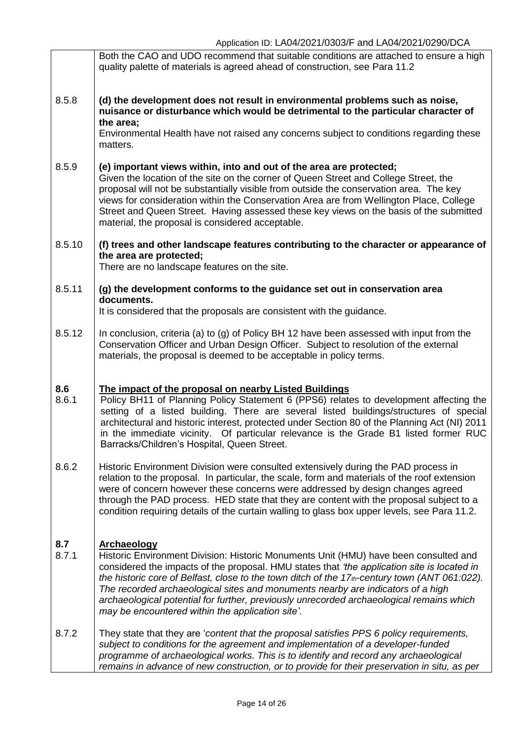|              | Both the CAO and UDO recommend that suitable conditions are attached to ensure a high<br>quality palette of materials is agreed ahead of construction, see Para 11.2                                                                                                                                                                                                                                                                                                                                                                          |
|--------------|-----------------------------------------------------------------------------------------------------------------------------------------------------------------------------------------------------------------------------------------------------------------------------------------------------------------------------------------------------------------------------------------------------------------------------------------------------------------------------------------------------------------------------------------------|
| 8.5.8        | (d) the development does not result in environmental problems such as noise,<br>nuisance or disturbance which would be detrimental to the particular character of<br>the area;                                                                                                                                                                                                                                                                                                                                                                |
|              | Environmental Health have not raised any concerns subject to conditions regarding these<br>matters.                                                                                                                                                                                                                                                                                                                                                                                                                                           |
| 8.5.9        | (e) important views within, into and out of the area are protected;<br>Given the location of the site on the corner of Queen Street and College Street, the<br>proposal will not be substantially visible from outside the conservation area. The key<br>views for consideration within the Conservation Area are from Wellington Place, College<br>Street and Queen Street. Having assessed these key views on the basis of the submitted<br>material, the proposal is considered acceptable.                                                |
| 8.5.10       | (f) trees and other landscape features contributing to the character or appearance of<br>the area are protected;<br>There are no landscape features on the site.                                                                                                                                                                                                                                                                                                                                                                              |
| 8.5.11       | (g) the development conforms to the guidance set out in conservation area                                                                                                                                                                                                                                                                                                                                                                                                                                                                     |
|              | documents.<br>It is considered that the proposals are consistent with the guidance.                                                                                                                                                                                                                                                                                                                                                                                                                                                           |
| 8.5.12       | In conclusion, criteria (a) to (g) of Policy BH 12 have been assessed with input from the<br>Conservation Officer and Urban Design Officer. Subject to resolution of the external<br>materials, the proposal is deemed to be acceptable in policy terms.                                                                                                                                                                                                                                                                                      |
| 8.6<br>8.6.1 | The impact of the proposal on nearby Listed Buildings<br>Policy BH11 of Planning Policy Statement 6 (PPS6) relates to development affecting the<br>setting of a listed building. There are several listed buildings/structures of special<br>architectural and historic interest, protected under Section 80 of the Planning Act (NI) 2011<br>in the immediate vicinity. Of particular relevance is the Grade B1 listed former RUC<br>Barracks/Children's Hospital, Queen Street.                                                             |
| 8.6.2        | Historic Environment Division were consulted extensively during the PAD process in<br>relation to the proposal. In particular, the scale, form and materials of the roof extension<br>were of concern however these concerns were addressed by design changes agreed<br>through the PAD process. HED state that they are content with the proposal subject to a<br>condition requiring details of the curtain walling to glass box upper levels, see Para 11.2.                                                                               |
| 8.7<br>8.7.1 | <b>Archaeology</b><br>Historic Environment Division: Historic Monuments Unit (HMU) have been consulted and<br>considered the impacts of the proposal. HMU states that 'the application site is located in<br>the historic core of Belfast, close to the town ditch of the 17th-century town (ANT 061:022).<br>The recorded archaeological sites and monuments nearby are indicators of a high<br>archaeological potential for further, previously unrecorded archaeological remains which<br>may be encountered within the application site'. |
| 8.7.2        | They state that they are 'content that the proposal satisfies PPS 6 policy requirements,<br>subject to conditions for the agreement and implementation of a developer-funded<br>programme of archaeological works. This is to identify and record any archaeological<br>remains in advance of new construction, or to provide for their preservation in situ, as per                                                                                                                                                                          |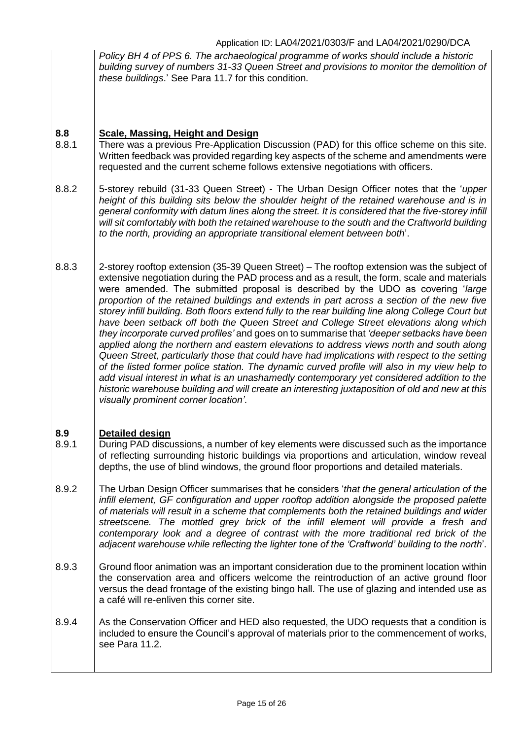|              | Policy BH 4 of PPS 6. The archaeological programme of works should include a historic<br>building survey of numbers 31-33 Queen Street and provisions to monitor the demolition of<br>these buildings.' See Para 11.7 for this condition.                                                                                                                                                                                                                                                                                                                                                                                                                                                                                                                                                                                                                                                                                                                                                                                                                                                                                                                                                                   |
|--------------|-------------------------------------------------------------------------------------------------------------------------------------------------------------------------------------------------------------------------------------------------------------------------------------------------------------------------------------------------------------------------------------------------------------------------------------------------------------------------------------------------------------------------------------------------------------------------------------------------------------------------------------------------------------------------------------------------------------------------------------------------------------------------------------------------------------------------------------------------------------------------------------------------------------------------------------------------------------------------------------------------------------------------------------------------------------------------------------------------------------------------------------------------------------------------------------------------------------|
| 8.8<br>8.8.1 | <b>Scale, Massing, Height and Design</b><br>There was a previous Pre-Application Discussion (PAD) for this office scheme on this site.<br>Written feedback was provided regarding key aspects of the scheme and amendments were<br>requested and the current scheme follows extensive negotiations with officers.                                                                                                                                                                                                                                                                                                                                                                                                                                                                                                                                                                                                                                                                                                                                                                                                                                                                                           |
| 8.8.2        | 5-storey rebuild (31-33 Queen Street) - The Urban Design Officer notes that the 'upper<br>height of this building sits below the shoulder height of the retained warehouse and is in<br>general conformity with datum lines along the street. It is considered that the five-storey infill<br>will sit comfortably with both the retained warehouse to the south and the Craftworld building<br>to the north, providing an appropriate transitional element between both'.                                                                                                                                                                                                                                                                                                                                                                                                                                                                                                                                                                                                                                                                                                                                  |
| 8.8.3        | 2-storey rooftop extension (35-39 Queen Street) – The rooftop extension was the subject of<br>extensive negotiation during the PAD process and as a result, the form, scale and materials<br>were amended. The submitted proposal is described by the UDO as covering 'large<br>proportion of the retained buildings and extends in part across a section of the new five<br>storey infill building. Both floors extend fully to the rear building line along College Court but<br>have been setback off both the Queen Street and College Street elevations along which<br>they incorporate curved profiles' and goes on to summarise that 'deeper setbacks have been<br>applied along the northern and eastern elevations to address views north and south along<br>Queen Street, particularly those that could have had implications with respect to the setting<br>of the listed former police station. The dynamic curved profile will also in my view help to<br>add visual interest in what is an unashamedly contemporary yet considered addition to the<br>historic warehouse building and will create an interesting juxtaposition of old and new at this<br>visually prominent corner location'. |
| 8.9<br>8.9.1 | <b>Detailed design</b><br>During PAD discussions, a number of key elements were discussed such as the importance<br>of reflecting surrounding historic buildings via proportions and articulation, window reveal<br>depths, the use of blind windows, the ground floor proportions and detailed materials.                                                                                                                                                                                                                                                                                                                                                                                                                                                                                                                                                                                                                                                                                                                                                                                                                                                                                                  |
| 8.9.2        | The Urban Design Officer summarises that he considers 'that the general articulation of the<br>infill element, GF configuration and upper rooftop addition alongside the proposed palette<br>of materials will result in a scheme that complements both the retained buildings and wider<br>streetscene. The mottled grey brick of the infill element will provide a fresh and<br>contemporary look and a degree of contrast with the more traditional red brick of the<br>adjacent warehouse while reflecting the lighter tone of the 'Craftworld' building to the north'.                                                                                                                                                                                                                                                                                                                                                                                                                                                                                                                                                                                                                                 |
| 8.9.3        | Ground floor animation was an important consideration due to the prominent location within<br>the conservation area and officers welcome the reintroduction of an active ground floor<br>versus the dead frontage of the existing bingo hall. The use of glazing and intended use as<br>a café will re-enliven this corner site.                                                                                                                                                                                                                                                                                                                                                                                                                                                                                                                                                                                                                                                                                                                                                                                                                                                                            |
| 8.9.4        | As the Conservation Officer and HED also requested, the UDO requests that a condition is<br>included to ensure the Council's approval of materials prior to the commencement of works,<br>see Para 11.2.                                                                                                                                                                                                                                                                                                                                                                                                                                                                                                                                                                                                                                                                                                                                                                                                                                                                                                                                                                                                    |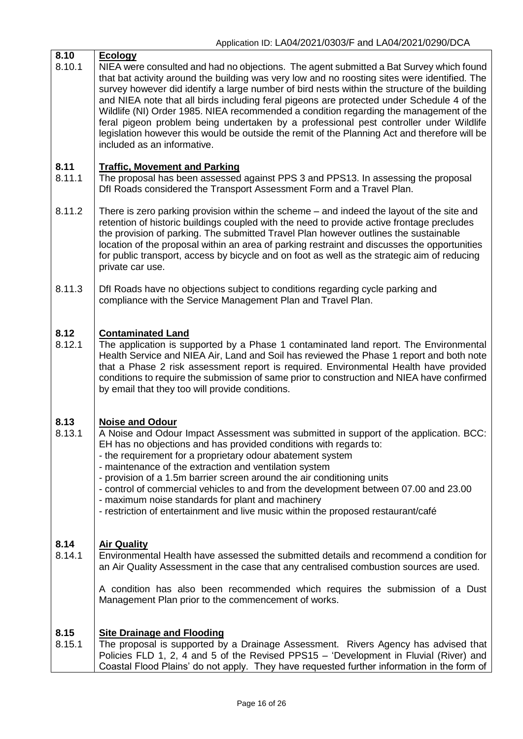| 8.10<br>8.10.1 | <b>Ecology</b><br>NIEA were consulted and had no objections. The agent submitted a Bat Survey which found<br>that bat activity around the building was very low and no roosting sites were identified. The<br>survey however did identify a large number of bird nests within the structure of the building<br>and NIEA note that all birds including feral pigeons are protected under Schedule 4 of the<br>Wildlife (NI) Order 1985. NIEA recommended a condition regarding the management of the<br>feral pigeon problem being undertaken by a professional pest controller under Wildlife<br>legislation however this would be outside the remit of the Planning Act and therefore will be<br>included as an informative. |
|----------------|-------------------------------------------------------------------------------------------------------------------------------------------------------------------------------------------------------------------------------------------------------------------------------------------------------------------------------------------------------------------------------------------------------------------------------------------------------------------------------------------------------------------------------------------------------------------------------------------------------------------------------------------------------------------------------------------------------------------------------|
| 8.11<br>8.11.1 | <b>Traffic, Movement and Parking</b><br>The proposal has been assessed against PPS 3 and PPS13. In assessing the proposal<br>Dfl Roads considered the Transport Assessment Form and a Travel Plan.                                                                                                                                                                                                                                                                                                                                                                                                                                                                                                                            |
| 8.11.2         | There is zero parking provision within the scheme – and indeed the layout of the site and<br>retention of historic buildings coupled with the need to provide active frontage precludes<br>the provision of parking. The submitted Travel Plan however outlines the sustainable<br>location of the proposal within an area of parking restraint and discusses the opportunities<br>for public transport, access by bicycle and on foot as well as the strategic aim of reducing<br>private car use.                                                                                                                                                                                                                           |
| 8.11.3         | Dfl Roads have no objections subject to conditions regarding cycle parking and<br>compliance with the Service Management Plan and Travel Plan.                                                                                                                                                                                                                                                                                                                                                                                                                                                                                                                                                                                |
| 8.12<br>8.12.1 | <b>Contaminated Land</b><br>The application is supported by a Phase 1 contaminated land report. The Environmental<br>Health Service and NIEA Air, Land and Soil has reviewed the Phase 1 report and both note<br>that a Phase 2 risk assessment report is required. Environmental Health have provided<br>conditions to require the submission of same prior to construction and NIEA have confirmed<br>by email that they too will provide conditions.                                                                                                                                                                                                                                                                       |
| 8.13<br>8.13.1 | <b>Noise and Odour</b><br>A Noise and Odour Impact Assessment was submitted in support of the application. BCC:<br>EH has no objections and has provided conditions with regards to:<br>- the requirement for a proprietary odour abatement system<br>- maintenance of the extraction and ventilation system<br>- provision of a 1.5m barrier screen around the air conditioning units<br>- control of commercial vehicles to and from the development between 07.00 and 23.00<br>- maximum noise standards for plant and machinery<br>- restriction of entertainment and live music within the proposed restaurant/café                                                                                                      |
| 8.14<br>8.14.1 | <b>Air Quality</b><br>Environmental Health have assessed the submitted details and recommend a condition for<br>an Air Quality Assessment in the case that any centralised combustion sources are used.<br>A condition has also been recommended which requires the submission of a Dust<br>Management Plan prior to the commencement of works.                                                                                                                                                                                                                                                                                                                                                                               |
| 8.15<br>8.15.1 | <b>Site Drainage and Flooding</b><br>The proposal is supported by a Drainage Assessment. Rivers Agency has advised that<br>Policies FLD 1, 2, 4 and 5 of the Revised PPS15 - 'Development in Fluvial (River) and<br>Coastal Flood Plains' do not apply. They have requested further information in the form of                                                                                                                                                                                                                                                                                                                                                                                                                |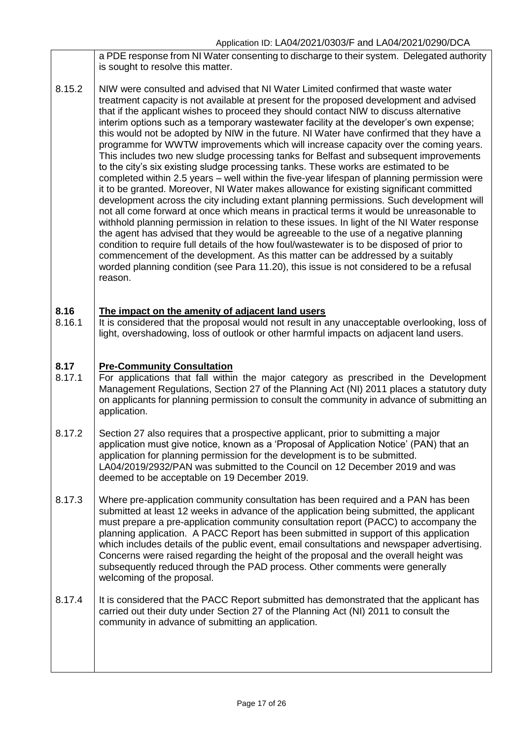a PDE response from NI Water consenting to discharge to their system. Delegated authority is sought to resolve this matter.

8.15.2 NIW were consulted and advised that NI Water Limited confirmed that waste water treatment capacity is not available at present for the proposed development and advised that if the applicant wishes to proceed they should contact NIW to discuss alternative interim options such as a temporary wastewater facility at the developer's own expense; this would not be adopted by NIW in the future. NI Water have confirmed that they have a programme for WWTW improvements which will increase capacity over the coming years. This includes two new sludge processing tanks for Belfast and subsequent improvements to the city's six existing sludge processing tanks. These works are estimated to be completed within 2.5 years – well within the five-year lifespan of planning permission were it to be granted. Moreover, NI Water makes allowance for existing significant committed development across the city including extant planning permissions. Such development will not all come forward at once which means in practical terms it would be unreasonable to withhold planning permission in relation to these issues. In light of the NI Water response the agent has advised that they would be agreeable to the use of a negative planning condition to require full details of the how foul/wastewater is to be disposed of prior to commencement of the development. As this matter can be addressed by a suitably worded planning condition (see Para 11.20), this issue is not considered to be a refusal reason.

#### **8.16 The impact on the amenity of adjacent land users**

8.16.1 It is considered that the proposal would not result in any unacceptable overlooking, loss of light, overshadowing, loss of outlook or other harmful impacts on adjacent land users.

#### **8.17 Pre-Community Consultation**

- 8.17.1 For applications that fall within the major category as prescribed in the Development Management Regulations, Section 27 of the Planning Act (NI) 2011 places a statutory duty on applicants for planning permission to consult the community in advance of submitting an application.
- 8.17.2 Section 27 also requires that a prospective applicant, prior to submitting a major application must give notice, known as a 'Proposal of Application Notice' (PAN) that an application for planning permission for the development is to be submitted. LA04/2019/2932/PAN was submitted to the Council on 12 December 2019 and was deemed to be acceptable on 19 December 2019.
- 8.17.3 Where pre-application community consultation has been required and a PAN has been submitted at least 12 weeks in advance of the application being submitted, the applicant must prepare a pre-application community consultation report (PACC) to accompany the planning application. A PACC Report has been submitted in support of this application which includes details of the public event, email consultations and newspaper advertising. Concerns were raised regarding the height of the proposal and the overall height was subsequently reduced through the PAD process. Other comments were generally welcoming of the proposal.
- 8.17.4 It is considered that the PACC Report submitted has demonstrated that the applicant has carried out their duty under Section 27 of the Planning Act (NI) 2011 to consult the community in advance of submitting an application.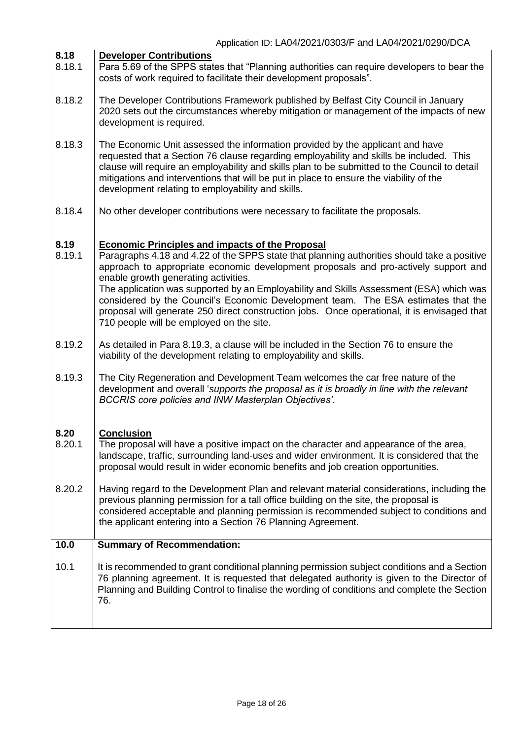| 8.18<br>8.18.1 | <b>Developer Contributions</b><br>Para 5.69 of the SPPS states that "Planning authorities can require developers to bear the<br>costs of work required to facilitate their development proposals".                                                                                                                                                                                                                                                                                                                                                                                                              |
|----------------|-----------------------------------------------------------------------------------------------------------------------------------------------------------------------------------------------------------------------------------------------------------------------------------------------------------------------------------------------------------------------------------------------------------------------------------------------------------------------------------------------------------------------------------------------------------------------------------------------------------------|
| 8.18.2         | The Developer Contributions Framework published by Belfast City Council in January<br>2020 sets out the circumstances whereby mitigation or management of the impacts of new<br>development is required.                                                                                                                                                                                                                                                                                                                                                                                                        |
| 8.18.3         | The Economic Unit assessed the information provided by the applicant and have<br>requested that a Section 76 clause regarding employability and skills be included. This<br>clause will require an employability and skills plan to be submitted to the Council to detail<br>mitigations and interventions that will be put in place to ensure the viability of the<br>development relating to employability and skills.                                                                                                                                                                                        |
| 8.18.4         | No other developer contributions were necessary to facilitate the proposals.                                                                                                                                                                                                                                                                                                                                                                                                                                                                                                                                    |
| 8.19<br>8.19.1 | <b>Economic Principles and impacts of the Proposal</b><br>Paragraphs 4.18 and 4.22 of the SPPS state that planning authorities should take a positive<br>approach to appropriate economic development proposals and pro-actively support and<br>enable growth generating activities.<br>The application was supported by an Employability and Skills Assessment (ESA) which was<br>considered by the Council's Economic Development team. The ESA estimates that the<br>proposal will generate 250 direct construction jobs. Once operational, it is envisaged that<br>710 people will be employed on the site. |
| 8.19.2         | As detailed in Para 8.19.3, a clause will be included in the Section 76 to ensure the<br>viability of the development relating to employability and skills.                                                                                                                                                                                                                                                                                                                                                                                                                                                     |
| 8.19.3         | The City Regeneration and Development Team welcomes the car free nature of the<br>development and overall 'supports the proposal as it is broadly in line with the relevant<br><b>BCCRIS core policies and INW Masterplan Objectives'.</b>                                                                                                                                                                                                                                                                                                                                                                      |
| 8.20<br>8.20.1 | <b>Conclusion</b><br>The proposal will have a positive impact on the character and appearance of the area,<br>landscape, traffic, surrounding land-uses and wider environment. It is considered that the<br>proposal would result in wider economic benefits and job creation opportunities.                                                                                                                                                                                                                                                                                                                    |
| 8.20.2         | Having regard to the Development Plan and relevant material considerations, including the<br>previous planning permission for a tall office building on the site, the proposal is<br>considered acceptable and planning permission is recommended subject to conditions and<br>the applicant entering into a Section 76 Planning Agreement.                                                                                                                                                                                                                                                                     |
| 10.0           | <b>Summary of Recommendation:</b>                                                                                                                                                                                                                                                                                                                                                                                                                                                                                                                                                                               |
| 10.1           | It is recommended to grant conditional planning permission subject conditions and a Section<br>76 planning agreement. It is requested that delegated authority is given to the Director of<br>Planning and Building Control to finalise the wording of conditions and complete the Section<br>76.                                                                                                                                                                                                                                                                                                               |
|                |                                                                                                                                                                                                                                                                                                                                                                                                                                                                                                                                                                                                                 |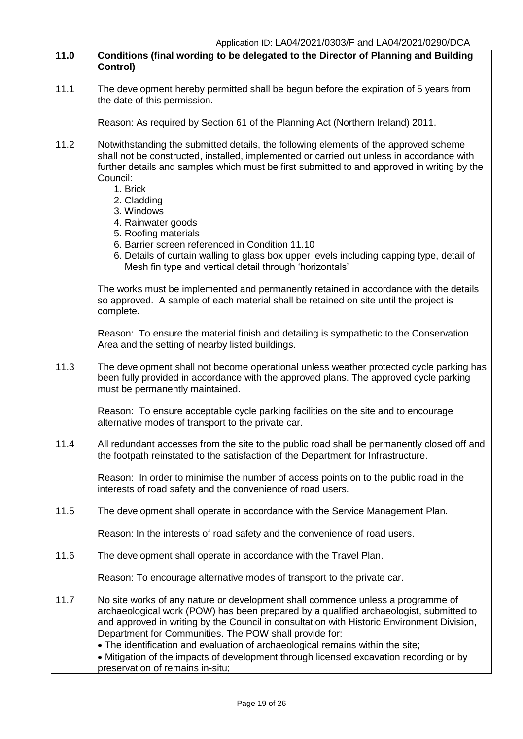| 11.0 | Conditions (final wording to be delegated to the Director of Planning and Building<br>Control)                                                                                                                                                                                                                                                                                                                      |
|------|---------------------------------------------------------------------------------------------------------------------------------------------------------------------------------------------------------------------------------------------------------------------------------------------------------------------------------------------------------------------------------------------------------------------|
| 11.1 | The development hereby permitted shall be begun before the expiration of 5 years from<br>the date of this permission.                                                                                                                                                                                                                                                                                               |
|      | Reason: As required by Section 61 of the Planning Act (Northern Ireland) 2011.                                                                                                                                                                                                                                                                                                                                      |
| 11.2 | Notwithstanding the submitted details, the following elements of the approved scheme<br>shall not be constructed, installed, implemented or carried out unless in accordance with<br>further details and samples which must be first submitted to and approved in writing by the<br>Council:<br>1. Brick<br>2. Cladding                                                                                             |
|      | 3. Windows<br>4. Rainwater goods                                                                                                                                                                                                                                                                                                                                                                                    |
|      | 5. Roofing materials<br>6. Barrier screen referenced in Condition 11.10<br>6. Details of curtain walling to glass box upper levels including capping type, detail of<br>Mesh fin type and vertical detail through 'horizontals'                                                                                                                                                                                     |
|      | The works must be implemented and permanently retained in accordance with the details<br>so approved. A sample of each material shall be retained on site until the project is<br>complete.                                                                                                                                                                                                                         |
|      | Reason: To ensure the material finish and detailing is sympathetic to the Conservation<br>Area and the setting of nearby listed buildings.                                                                                                                                                                                                                                                                          |
| 11.3 | The development shall not become operational unless weather protected cycle parking has<br>been fully provided in accordance with the approved plans. The approved cycle parking<br>must be permanently maintained.                                                                                                                                                                                                 |
|      | Reason: To ensure acceptable cycle parking facilities on the site and to encourage<br>alternative modes of transport to the private car.                                                                                                                                                                                                                                                                            |
| 11.4 | All redundant accesses from the site to the public road shall be permanently closed off and<br>the footpath reinstated to the satisfaction of the Department for Infrastructure.                                                                                                                                                                                                                                    |
|      | Reason: In order to minimise the number of access points on to the public road in the<br>interests of road safety and the convenience of road users.                                                                                                                                                                                                                                                                |
| 11.5 | The development shall operate in accordance with the Service Management Plan.                                                                                                                                                                                                                                                                                                                                       |
|      | Reason: In the interests of road safety and the convenience of road users.                                                                                                                                                                                                                                                                                                                                          |
| 11.6 | The development shall operate in accordance with the Travel Plan.                                                                                                                                                                                                                                                                                                                                                   |
|      | Reason: To encourage alternative modes of transport to the private car.                                                                                                                                                                                                                                                                                                                                             |
| 11.7 | No site works of any nature or development shall commence unless a programme of<br>archaeological work (POW) has been prepared by a qualified archaeologist, submitted to<br>and approved in writing by the Council in consultation with Historic Environment Division,<br>Department for Communities. The POW shall provide for:<br>• The identification and evaluation of archaeological remains within the site; |
|      | • Mitigation of the impacts of development through licensed excavation recording or by<br>preservation of remains in-situ;                                                                                                                                                                                                                                                                                          |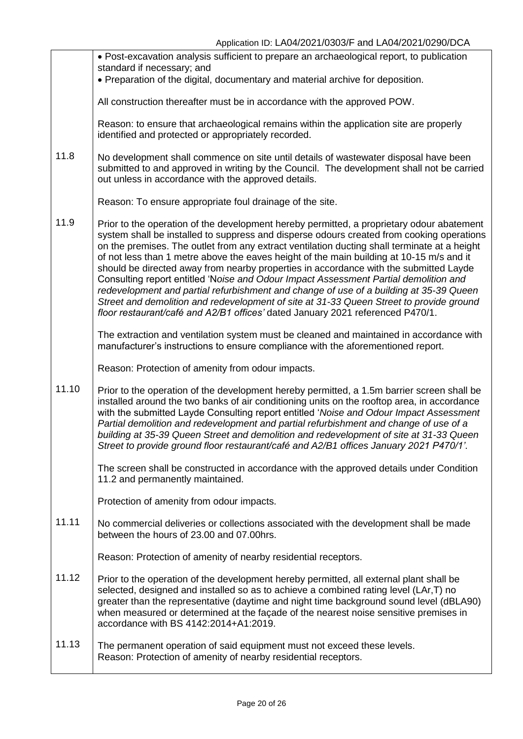|       | • Post-excavation analysis sufficient to prepare an archaeological report, to publication<br>standard if necessary; and<br>• Preparation of the digital, documentary and material archive for deposition.                                                                                                                                                                                                                                                                                                                                                                                                                                                                                                                                                                                                                                  |
|-------|--------------------------------------------------------------------------------------------------------------------------------------------------------------------------------------------------------------------------------------------------------------------------------------------------------------------------------------------------------------------------------------------------------------------------------------------------------------------------------------------------------------------------------------------------------------------------------------------------------------------------------------------------------------------------------------------------------------------------------------------------------------------------------------------------------------------------------------------|
|       |                                                                                                                                                                                                                                                                                                                                                                                                                                                                                                                                                                                                                                                                                                                                                                                                                                            |
|       | All construction thereafter must be in accordance with the approved POW.                                                                                                                                                                                                                                                                                                                                                                                                                                                                                                                                                                                                                                                                                                                                                                   |
|       | Reason: to ensure that archaeological remains within the application site are properly<br>identified and protected or appropriately recorded.                                                                                                                                                                                                                                                                                                                                                                                                                                                                                                                                                                                                                                                                                              |
| 11.8  | No development shall commence on site until details of wastewater disposal have been<br>submitted to and approved in writing by the Council. The development shall not be carried<br>out unless in accordance with the approved details.                                                                                                                                                                                                                                                                                                                                                                                                                                                                                                                                                                                                   |
|       | Reason: To ensure appropriate foul drainage of the site.                                                                                                                                                                                                                                                                                                                                                                                                                                                                                                                                                                                                                                                                                                                                                                                   |
| 11.9  | Prior to the operation of the development hereby permitted, a proprietary odour abatement<br>system shall be installed to suppress and disperse odours created from cooking operations<br>on the premises. The outlet from any extract ventilation ducting shall terminate at a height<br>of not less than 1 metre above the eaves height of the main building at 10-15 m/s and it<br>should be directed away from nearby properties in accordance with the submitted Layde<br>Consulting report entitled 'Noise and Odour Impact Assessment Partial demolition and<br>redevelopment and partial refurbishment and change of use of a building at 35-39 Queen<br>Street and demolition and redevelopment of site at 31-33 Queen Street to provide ground<br>floor restaurant/café and A2/B1 offices' dated January 2021 referenced P470/1. |
|       | The extraction and ventilation system must be cleaned and maintained in accordance with<br>manufacturer's instructions to ensure compliance with the aforementioned report.                                                                                                                                                                                                                                                                                                                                                                                                                                                                                                                                                                                                                                                                |
|       | Reason: Protection of amenity from odour impacts.                                                                                                                                                                                                                                                                                                                                                                                                                                                                                                                                                                                                                                                                                                                                                                                          |
| 11.10 | Prior to the operation of the development hereby permitted, a 1.5m barrier screen shall be<br>installed around the two banks of air conditioning units on the rooftop area, in accordance<br>with the submitted Layde Consulting report entitled 'Noise and Odour Impact Assessment<br>Partial demolition and redevelopment and partial refurbishment and change of use of a<br>building at 35-39 Queen Street and demolition and redevelopment of site at 31-33 Queen<br>Street to provide ground floor restaurant/café and A2/B1 offices January 2021 P470/1'.                                                                                                                                                                                                                                                                           |
|       | The screen shall be constructed in accordance with the approved details under Condition<br>11.2 and permanently maintained.                                                                                                                                                                                                                                                                                                                                                                                                                                                                                                                                                                                                                                                                                                                |
|       | Protection of amenity from odour impacts.                                                                                                                                                                                                                                                                                                                                                                                                                                                                                                                                                                                                                                                                                                                                                                                                  |
| 11.11 | No commercial deliveries or collections associated with the development shall be made<br>between the hours of 23.00 and 07.00hrs.                                                                                                                                                                                                                                                                                                                                                                                                                                                                                                                                                                                                                                                                                                          |
|       | Reason: Protection of amenity of nearby residential receptors.                                                                                                                                                                                                                                                                                                                                                                                                                                                                                                                                                                                                                                                                                                                                                                             |
| 11.12 | Prior to the operation of the development hereby permitted, all external plant shall be<br>selected, designed and installed so as to achieve a combined rating level (LAr,T) no<br>greater than the representative (daytime and night time background sound level (dBLA90)<br>when measured or determined at the façade of the nearest noise sensitive premises in<br>accordance with BS 4142:2014+A1:2019.                                                                                                                                                                                                                                                                                                                                                                                                                                |
| 11.13 | The permanent operation of said equipment must not exceed these levels.<br>Reason: Protection of amenity of nearby residential receptors.                                                                                                                                                                                                                                                                                                                                                                                                                                                                                                                                                                                                                                                                                                  |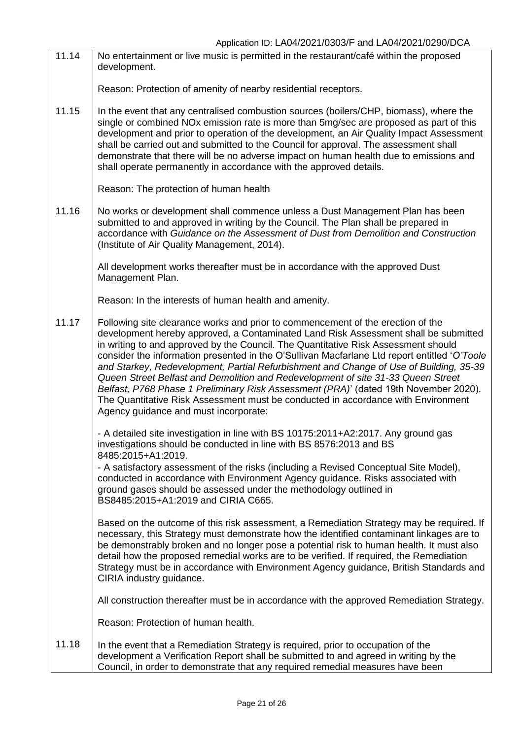| 11.14 | No entertainment or live music is permitted in the restaurant/café within the proposed<br>development.                                                                                                                                                                                                                                                                                                                                                                                                                                                                                                                                                                                                                                                           |
|-------|------------------------------------------------------------------------------------------------------------------------------------------------------------------------------------------------------------------------------------------------------------------------------------------------------------------------------------------------------------------------------------------------------------------------------------------------------------------------------------------------------------------------------------------------------------------------------------------------------------------------------------------------------------------------------------------------------------------------------------------------------------------|
|       | Reason: Protection of amenity of nearby residential receptors.                                                                                                                                                                                                                                                                                                                                                                                                                                                                                                                                                                                                                                                                                                   |
| 11.15 | In the event that any centralised combustion sources (boilers/CHP, biomass), where the<br>single or combined NO <sub>x</sub> emission rate is more than 5mg/sec are proposed as part of this<br>development and prior to operation of the development, an Air Quality Impact Assessment<br>shall be carried out and submitted to the Council for approval. The assessment shall<br>demonstrate that there will be no adverse impact on human health due to emissions and<br>shall operate permanently in accordance with the approved details.                                                                                                                                                                                                                   |
|       | Reason: The protection of human health                                                                                                                                                                                                                                                                                                                                                                                                                                                                                                                                                                                                                                                                                                                           |
| 11.16 | No works or development shall commence unless a Dust Management Plan has been<br>submitted to and approved in writing by the Council. The Plan shall be prepared in<br>accordance with Guidance on the Assessment of Dust from Demolition and Construction<br>(Institute of Air Quality Management, 2014).                                                                                                                                                                                                                                                                                                                                                                                                                                                       |
|       | All development works thereafter must be in accordance with the approved Dust<br>Management Plan.                                                                                                                                                                                                                                                                                                                                                                                                                                                                                                                                                                                                                                                                |
|       | Reason: In the interests of human health and amenity.                                                                                                                                                                                                                                                                                                                                                                                                                                                                                                                                                                                                                                                                                                            |
| 11.17 | Following site clearance works and prior to commencement of the erection of the<br>development hereby approved, a Contaminated Land Risk Assessment shall be submitted<br>in writing to and approved by the Council. The Quantitative Risk Assessment should<br>consider the information presented in the O'Sullivan Macfarlane Ltd report entitled 'O'Toole<br>and Starkey, Redevelopment, Partial Refurbishment and Change of Use of Building, 35-39<br>Queen Street Belfast and Demolition and Redevelopment of site 31-33 Queen Street<br>Belfast, P768 Phase 1 Preliminary Risk Assessment (PRA)' (dated 19th November 2020).<br>The Quantitative Risk Assessment must be conducted in accordance with Environment<br>Agency guidance and must incorporate: |
|       | - A detailed site investigation in line with BS 10175:2011+A2:2017. Any ground gas<br>investigations should be conducted in line with BS 8576:2013 and BS<br>8485:2015+A1:2019.                                                                                                                                                                                                                                                                                                                                                                                                                                                                                                                                                                                  |
|       | - A satisfactory assessment of the risks (including a Revised Conceptual Site Model),<br>conducted in accordance with Environment Agency guidance. Risks associated with<br>ground gases should be assessed under the methodology outlined in<br>BS8485:2015+A1:2019 and CIRIA C665.                                                                                                                                                                                                                                                                                                                                                                                                                                                                             |
|       | Based on the outcome of this risk assessment, a Remediation Strategy may be required. If<br>necessary, this Strategy must demonstrate how the identified contaminant linkages are to<br>be demonstrably broken and no longer pose a potential risk to human health. It must also<br>detail how the proposed remedial works are to be verified. If required, the Remediation<br>Strategy must be in accordance with Environment Agency guidance, British Standards and<br>CIRIA industry guidance.                                                                                                                                                                                                                                                                |
|       | All construction thereafter must be in accordance with the approved Remediation Strategy.                                                                                                                                                                                                                                                                                                                                                                                                                                                                                                                                                                                                                                                                        |
|       | Reason: Protection of human health.                                                                                                                                                                                                                                                                                                                                                                                                                                                                                                                                                                                                                                                                                                                              |
| 11.18 | In the event that a Remediation Strategy is required, prior to occupation of the<br>development a Verification Report shall be submitted to and agreed in writing by the<br>Council, in order to demonstrate that any required remedial measures have been                                                                                                                                                                                                                                                                                                                                                                                                                                                                                                       |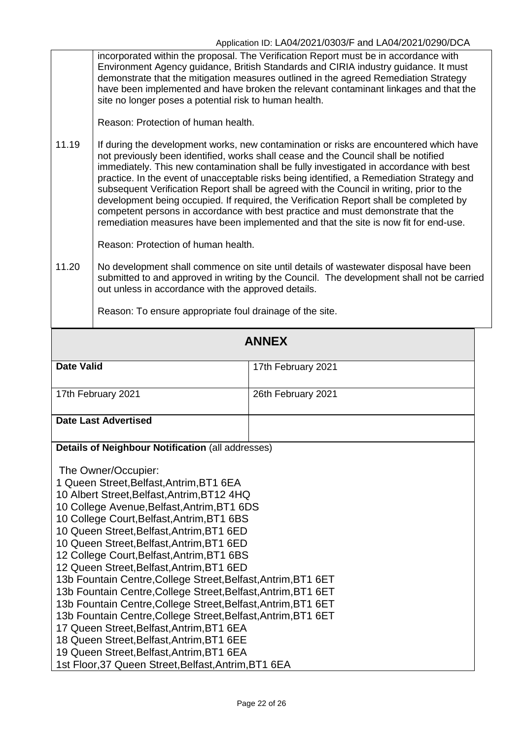incorporated within the proposal. The Verification Report must be in accordance with Environment Agency guidance, British Standards and CIRIA industry guidance. It must demonstrate that the mitigation measures outlined in the agreed Remediation Strategy have been implemented and have broken the relevant contaminant linkages and that the site no longer poses a potential risk to human health.

Reason: Protection of human health.

11.19 If during the development works, new contamination or risks are encountered which have not previously been identified, works shall cease and the Council shall be notified immediately. This new contamination shall be fully investigated in accordance with best practice. In the event of unacceptable risks being identified, a Remediation Strategy and subsequent Verification Report shall be agreed with the Council in writing, prior to the development being occupied. If required, the Verification Report shall be completed by competent persons in accordance with best practice and must demonstrate that the remediation measures have been implemented and that the site is now fit for end-use.

Reason: Protection of human health.

11.20 No development shall commence on site until details of wastewater disposal have been submitted to and approved in writing by the Council. The development shall not be carried out unless in accordance with the approved details.

Reason: To ensure appropriate foul drainage of the site.

| <b>ANNEX</b>                                                                                                                                                                                                                                                                                                                                                                                                                                                                                                                                                                                                                                                                                                                                                                                                                                                        |                    |  |  |  |
|---------------------------------------------------------------------------------------------------------------------------------------------------------------------------------------------------------------------------------------------------------------------------------------------------------------------------------------------------------------------------------------------------------------------------------------------------------------------------------------------------------------------------------------------------------------------------------------------------------------------------------------------------------------------------------------------------------------------------------------------------------------------------------------------------------------------------------------------------------------------|--------------------|--|--|--|
| <b>Date Valid</b>                                                                                                                                                                                                                                                                                                                                                                                                                                                                                                                                                                                                                                                                                                                                                                                                                                                   | 17th February 2021 |  |  |  |
| 17th February 2021                                                                                                                                                                                                                                                                                                                                                                                                                                                                                                                                                                                                                                                                                                                                                                                                                                                  | 26th February 2021 |  |  |  |
| <b>Date Last Advertised</b>                                                                                                                                                                                                                                                                                                                                                                                                                                                                                                                                                                                                                                                                                                                                                                                                                                         |                    |  |  |  |
| Details of Neighbour Notification (all addresses)                                                                                                                                                                                                                                                                                                                                                                                                                                                                                                                                                                                                                                                                                                                                                                                                                   |                    |  |  |  |
| The Owner/Occupier:<br>1 Queen Street, Belfast, Antrim, BT1 6EA<br>10 Albert Street, Belfast, Antrim, BT12 4HQ<br>10 College Avenue, Belfast, Antrim, BT1 6DS<br>10 College Court, Belfast, Antrim, BT1 6BS<br>10 Queen Street, Belfast, Antrim, BT1 6ED<br>10 Queen Street, Belfast, Antrim, BT1 6ED<br>12 College Court, Belfast, Antrim, BT1 6BS<br>12 Queen Street, Belfast, Antrim, BT1 6ED<br>13b Fountain Centre, College Street, Belfast, Antrim, BT1 6ET<br>13b Fountain Centre, College Street, Belfast, Antrim, BT1 6ET<br>13b Fountain Centre, College Street, Belfast, Antrim, BT1 6ET<br>13b Fountain Centre, College Street, Belfast, Antrim, BT1 6ET<br>17 Queen Street, Belfast, Antrim, BT1 6EA<br>18 Queen Street, Belfast, Antrim, BT1 6EE<br>19 Queen Street, Belfast, Antrim, BT1 6EA<br>1st Floor, 37 Queen Street, Belfast, Antrim, BT1 6EA |                    |  |  |  |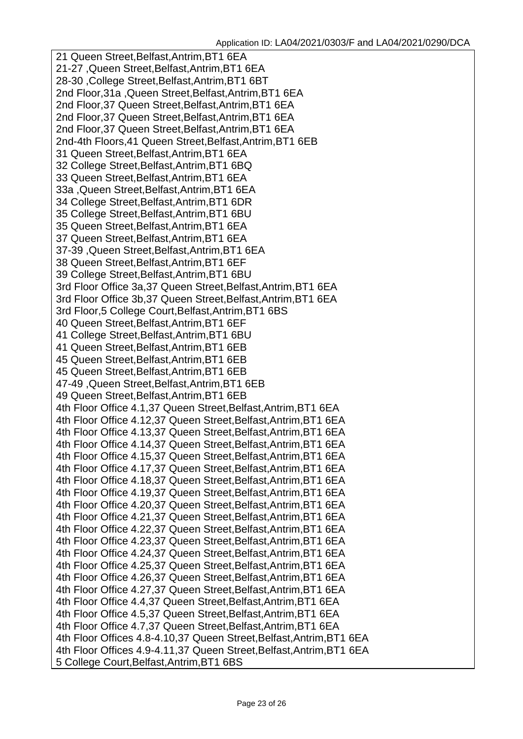21 Queen Street,Belfast,Antrim,BT1 6EA 21-27 ,Queen Street,Belfast,Antrim,BT1 6EA 28-30 ,College Street,Belfast,Antrim,BT1 6BT 2nd Floor,31a ,Queen Street,Belfast,Antrim,BT1 6EA 2nd Floor,37 Queen Street,Belfast,Antrim,BT1 6EA 2nd Floor,37 Queen Street,Belfast,Antrim,BT1 6EA 2nd Floor,37 Queen Street,Belfast,Antrim,BT1 6EA 2nd-4th Floors,41 Queen Street,Belfast,Antrim,BT1 6EB 31 Queen Street,Belfast,Antrim,BT1 6EA 32 College Street,Belfast,Antrim,BT1 6BQ 33 Queen Street,Belfast,Antrim,BT1 6EA 33a ,Queen Street,Belfast,Antrim,BT1 6EA 34 College Street,Belfast,Antrim,BT1 6DR 35 College Street,Belfast,Antrim,BT1 6BU 35 Queen Street,Belfast,Antrim,BT1 6EA 37 Queen Street,Belfast,Antrim,BT1 6EA 37-39 ,Queen Street,Belfast,Antrim,BT1 6EA 38 Queen Street,Belfast,Antrim,BT1 6EF 39 College Street,Belfast,Antrim,BT1 6BU 3rd Floor Office 3a,37 Queen Street,Belfast,Antrim,BT1 6EA 3rd Floor Office 3b,37 Queen Street,Belfast,Antrim,BT1 6EA 3rd Floor,5 College Court,Belfast,Antrim,BT1 6BS 40 Queen Street,Belfast,Antrim,BT1 6EF 41 College Street,Belfast,Antrim,BT1 6BU 41 Queen Street,Belfast,Antrim,BT1 6EB 45 Queen Street,Belfast,Antrim,BT1 6EB 45 Queen Street,Belfast,Antrim,BT1 6EB 47-49 ,Queen Street,Belfast,Antrim,BT1 6EB 49 Queen Street,Belfast,Antrim,BT1 6EB 4th Floor Office 4.1,37 Queen Street,Belfast,Antrim,BT1 6EA 4th Floor Office 4.12,37 Queen Street,Belfast,Antrim,BT1 6EA 4th Floor Office 4.13,37 Queen Street,Belfast,Antrim,BT1 6EA 4th Floor Office 4.14,37 Queen Street,Belfast,Antrim,BT1 6EA 4th Floor Office 4.15,37 Queen Street,Belfast,Antrim,BT1 6EA 4th Floor Office 4.17,37 Queen Street,Belfast,Antrim,BT1 6EA 4th Floor Office 4.18,37 Queen Street,Belfast,Antrim,BT1 6EA 4th Floor Office 4.19,37 Queen Street,Belfast,Antrim,BT1 6EA 4th Floor Office 4.20,37 Queen Street,Belfast,Antrim,BT1 6EA 4th Floor Office 4.21,37 Queen Street,Belfast,Antrim,BT1 6EA 4th Floor Office 4.22,37 Queen Street,Belfast,Antrim,BT1 6EA 4th Floor Office 4.23,37 Queen Street,Belfast,Antrim,BT1 6EA 4th Floor Office 4.24,37 Queen Street,Belfast,Antrim,BT1 6EA 4th Floor Office 4.25,37 Queen Street,Belfast,Antrim,BT1 6EA 4th Floor Office 4.26,37 Queen Street,Belfast,Antrim,BT1 6EA 4th Floor Office 4.27,37 Queen Street,Belfast,Antrim,BT1 6EA 4th Floor Office 4.4,37 Queen Street,Belfast,Antrim,BT1 6EA 4th Floor Office 4.5,37 Queen Street,Belfast,Antrim,BT1 6EA 4th Floor Office 4.7,37 Queen Street,Belfast,Antrim,BT1 6EA 4th Floor Offices 4.8-4.10,37 Queen Street,Belfast,Antrim,BT1 6EA 4th Floor Offices 4.9-4.11,37 Queen Street,Belfast,Antrim,BT1 6EA 5 College Court,Belfast,Antrim,BT1 6BS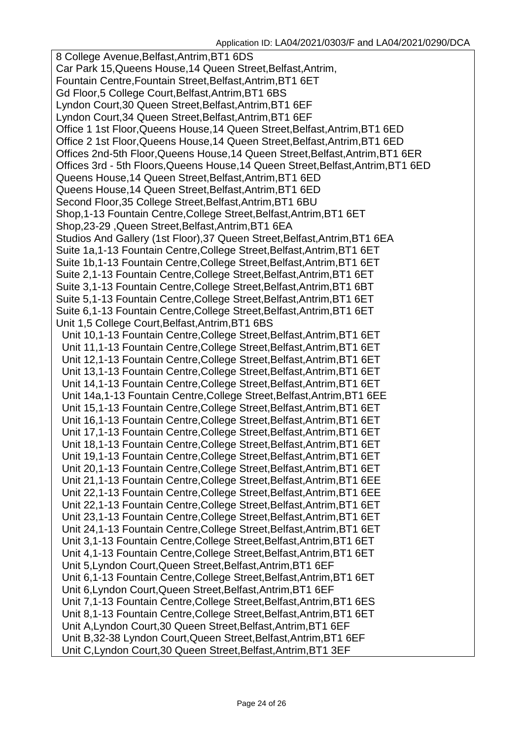8 College Avenue,Belfast,Antrim,BT1 6DS Car Park 15,Queens House,14 Queen Street,Belfast,Antrim, Fountain Centre,Fountain Street,Belfast,Antrim,BT1 6ET Gd Floor,5 College Court,Belfast,Antrim,BT1 6BS Lyndon Court,30 Queen Street,Belfast,Antrim,BT1 6EF Lyndon Court,34 Queen Street,Belfast,Antrim,BT1 6EF Office 1 1st Floor,Queens House,14 Queen Street,Belfast,Antrim,BT1 6ED Office 2 1st Floor,Queens House,14 Queen Street,Belfast,Antrim,BT1 6ED Offices 2nd-5th Floor,Queens House,14 Queen Street,Belfast,Antrim,BT1 6ER Offices 3rd - 5th Floors,Queens House,14 Queen Street,Belfast,Antrim,BT1 6ED Queens House,14 Queen Street,Belfast,Antrim,BT1 6ED Queens House,14 Queen Street,Belfast,Antrim,BT1 6ED Second Floor,35 College Street,Belfast,Antrim,BT1 6BU Shop,1-13 Fountain Centre,College Street,Belfast,Antrim,BT1 6ET Shop,23-29 ,Queen Street,Belfast,Antrim,BT1 6EA Studios And Gallery (1st Floor),37 Queen Street,Belfast,Antrim,BT1 6EA Suite 1a,1-13 Fountain Centre,College Street,Belfast,Antrim,BT1 6ET Suite 1b,1-13 Fountain Centre,College Street,Belfast,Antrim,BT1 6ET Suite 2,1-13 Fountain Centre,College Street,Belfast,Antrim,BT1 6ET Suite 3,1-13 Fountain Centre,College Street,Belfast,Antrim,BT1 6BT Suite 5,1-13 Fountain Centre,College Street,Belfast,Antrim,BT1 6ET Suite 6,1-13 Fountain Centre,College Street,Belfast,Antrim,BT1 6ET Unit 1,5 College Court,Belfast,Antrim,BT1 6BS Unit 10,1-13 Fountain Centre,College Street,Belfast,Antrim,BT1 6ET Unit 11,1-13 Fountain Centre,College Street,Belfast,Antrim,BT1 6ET Unit 12,1-13 Fountain Centre,College Street,Belfast,Antrim,BT1 6ET Unit 13,1-13 Fountain Centre,College Street,Belfast,Antrim,BT1 6ET Unit 14,1-13 Fountain Centre,College Street,Belfast,Antrim,BT1 6ET Unit 14a,1-13 Fountain Centre,College Street,Belfast,Antrim,BT1 6EE Unit 15,1-13 Fountain Centre,College Street,Belfast,Antrim,BT1 6ET Unit 16,1-13 Fountain Centre,College Street,Belfast,Antrim,BT1 6ET Unit 17,1-13 Fountain Centre,College Street,Belfast,Antrim,BT1 6ET Unit 18,1-13 Fountain Centre,College Street,Belfast,Antrim,BT1 6ET Unit 19,1-13 Fountain Centre,College Street,Belfast,Antrim,BT1 6ET Unit 20,1-13 Fountain Centre,College Street,Belfast,Antrim,BT1 6ET Unit 21,1-13 Fountain Centre,College Street,Belfast,Antrim,BT1 6EE Unit 22,1-13 Fountain Centre,College Street,Belfast,Antrim,BT1 6EE Unit 22,1-13 Fountain Centre,College Street,Belfast,Antrim,BT1 6ET Unit 23,1-13 Fountain Centre,College Street,Belfast,Antrim,BT1 6ET Unit 24,1-13 Fountain Centre,College Street,Belfast,Antrim,BT1 6ET Unit 3,1-13 Fountain Centre,College Street,Belfast,Antrim,BT1 6ET Unit 4,1-13 Fountain Centre,College Street,Belfast,Antrim,BT1 6ET Unit 5,Lyndon Court,Queen Street,Belfast,Antrim,BT1 6EF Unit 6,1-13 Fountain Centre,College Street,Belfast,Antrim,BT1 6ET Unit 6,Lyndon Court,Queen Street,Belfast,Antrim,BT1 6EF Unit 7,1-13 Fountain Centre,College Street,Belfast,Antrim,BT1 6ES Unit 8,1-13 Fountain Centre,College Street,Belfast,Antrim,BT1 6ET Unit A,Lyndon Court,30 Queen Street,Belfast,Antrim,BT1 6EF Unit B,32-38 Lyndon Court,Queen Street,Belfast,Antrim,BT1 6EF Unit C,Lyndon Court,30 Queen Street,Belfast,Antrim,BT1 3EF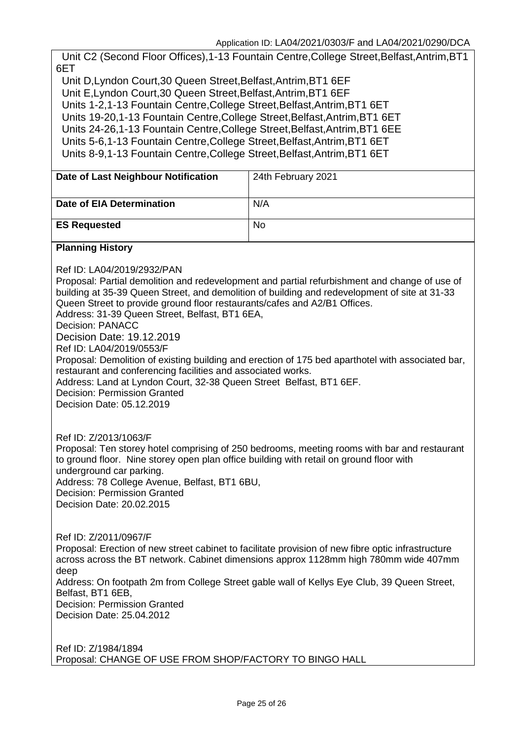Unit C2 (Second Floor Offices),1-13 Fountain Centre,College Street,Belfast,Antrim,BT1 6ET

Unit D,Lyndon Court,30 Queen Street,Belfast,Antrim,BT1 6EF Unit E,Lyndon Court,30 Queen Street,Belfast,Antrim,BT1 6EF Units 1-2,1-13 Fountain Centre,College Street,Belfast,Antrim,BT1 6ET Units 19-20,1-13 Fountain Centre,College Street,Belfast,Antrim,BT1 6ET Units 24-26,1-13 Fountain Centre,College Street,Belfast,Antrim,BT1 6EE Units 5-6,1-13 Fountain Centre,College Street,Belfast,Antrim,BT1 6ET Units 8-9,1-13 Fountain Centre,College Street,Belfast,Antrim,BT1 6ET

| Date of Last Neighbour Notification                                                                                                                                                                                                                                                                                                                                                                                                                                                                                                                                                                                                                                                                                                                      | 24th February 2021 |  |  |
|----------------------------------------------------------------------------------------------------------------------------------------------------------------------------------------------------------------------------------------------------------------------------------------------------------------------------------------------------------------------------------------------------------------------------------------------------------------------------------------------------------------------------------------------------------------------------------------------------------------------------------------------------------------------------------------------------------------------------------------------------------|--------------------|--|--|
| <b>Date of EIA Determination</b>                                                                                                                                                                                                                                                                                                                                                                                                                                                                                                                                                                                                                                                                                                                         | N/A                |  |  |
| <b>ES Requested</b>                                                                                                                                                                                                                                                                                                                                                                                                                                                                                                                                                                                                                                                                                                                                      | <b>No</b>          |  |  |
| <b>Planning History</b>                                                                                                                                                                                                                                                                                                                                                                                                                                                                                                                                                                                                                                                                                                                                  |                    |  |  |
| Ref ID: LA04/2019/2932/PAN<br>Proposal: Partial demolition and redevelopment and partial refurbishment and change of use of<br>building at 35-39 Queen Street, and demolition of building and redevelopment of site at 31-33<br>Queen Street to provide ground floor restaurants/cafes and A2/B1 Offices.<br>Address: 31-39 Queen Street, Belfast, BT1 6EA,<br><b>Decision: PANACC</b><br>Decision Date: 19.12.2019<br>Ref ID: LA04/2019/0553/F<br>Proposal: Demolition of existing building and erection of 175 bed aparthotel with associated bar,<br>restaurant and conferencing facilities and associated works.<br>Address: Land at Lyndon Court, 32-38 Queen Street Belfast, BT1 6EF.<br>Decision: Permission Granted<br>Decision Date: 05.12.2019 |                    |  |  |
| Ref ID: Z/2013/1063/F<br>Proposal: Ten storey hotel comprising of 250 bedrooms, meeting rooms with bar and restaurant<br>to ground floor. Nine storey open plan office building with retail on ground floor with<br>underground car parking.<br>Address: 78 College Avenue, Belfast, BT1 6BU,<br><b>Decision: Permission Granted</b><br>Decision Date: 20.02.2015                                                                                                                                                                                                                                                                                                                                                                                        |                    |  |  |
| Ref ID: Z/2011/0967/F<br>Proposal: Erection of new street cabinet to facilitate provision of new fibre optic infrastructure<br>across across the BT network. Cabinet dimensions approx 1128mm high 780mm wide 407mm<br>deep<br>Address: On footpath 2m from College Street gable wall of Kellys Eye Club, 39 Queen Street,<br>Belfast, BT1 6EB,<br><b>Decision: Permission Granted</b><br>Decision Date: 25.04.2012                                                                                                                                                                                                                                                                                                                                      |                    |  |  |
| Ref ID: Z/1984/1894<br>Proposal: CHANGE OF USE FROM SHOP/FACTORY TO BINGO HALL                                                                                                                                                                                                                                                                                                                                                                                                                                                                                                                                                                                                                                                                           |                    |  |  |